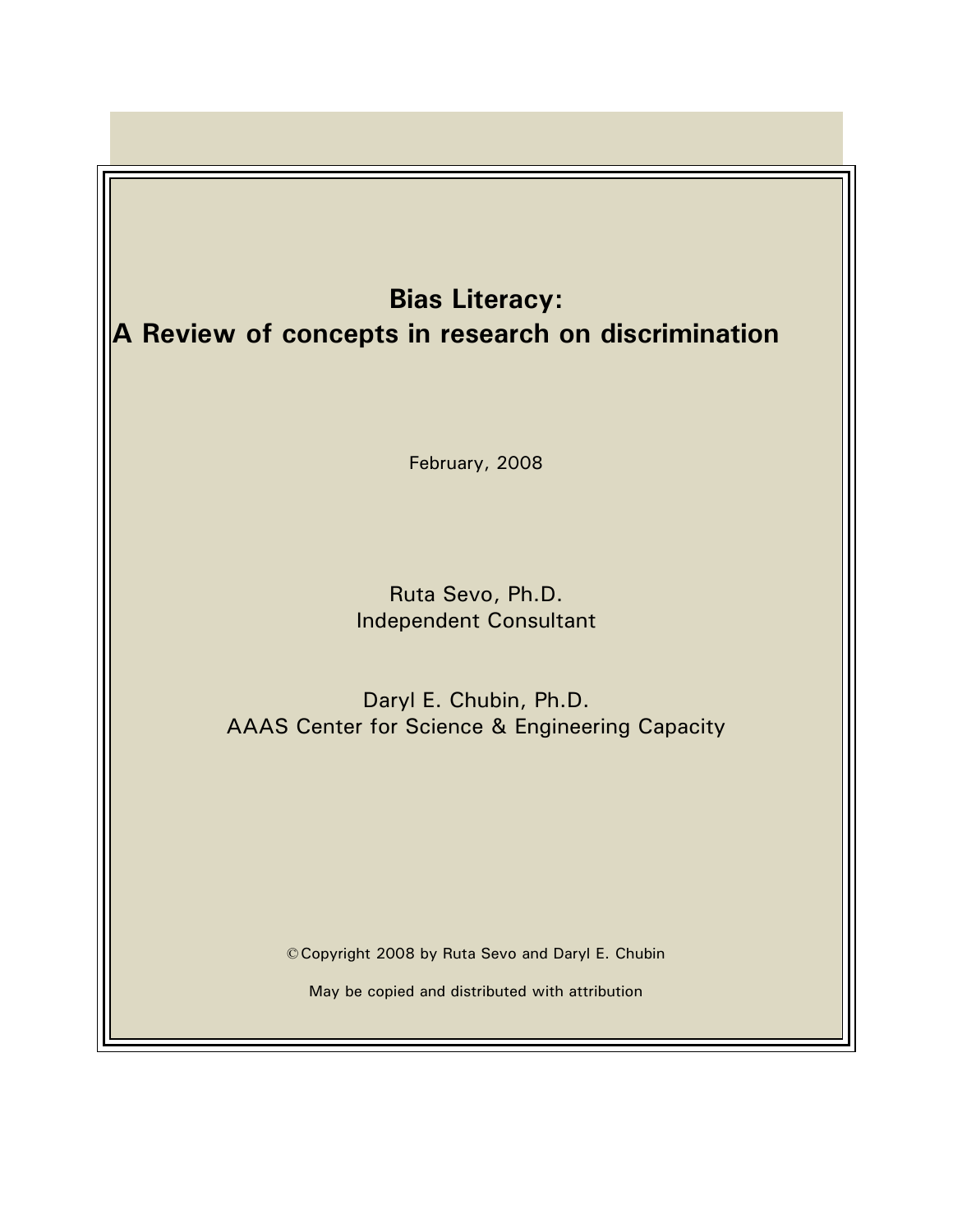# **Bias Literacy: A Review of concepts in research on discrimination**

February, 2008

Ruta Sevo, Ph.D. Independent Consultant

Daryl E. Chubin, Ph.D. AAAS Center for Science & Engineering Capacity

©Copyright 2008 by Ruta Sevo and Daryl E. Chubin

May be copied and distributed with attribution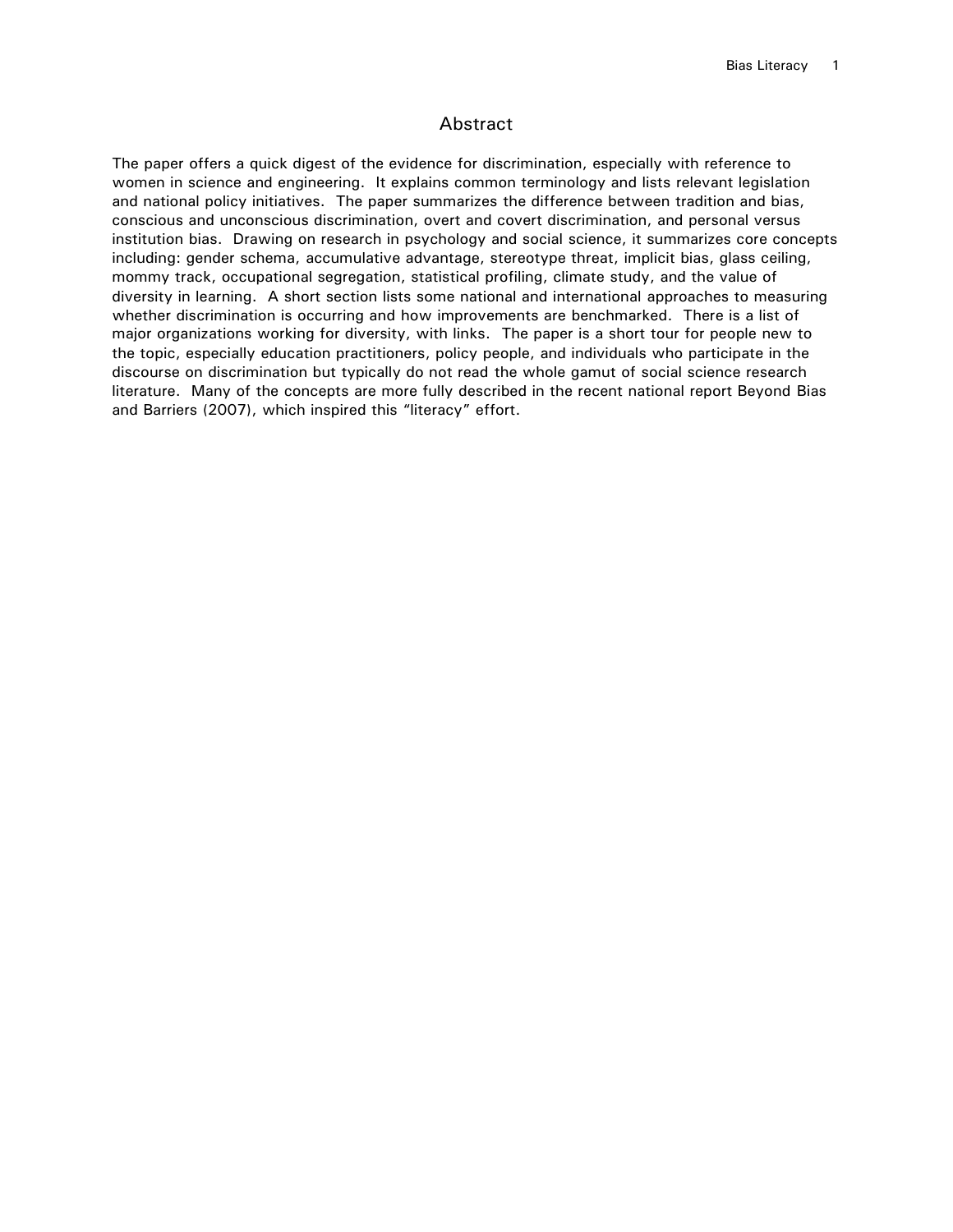## Abstract

The paper offers a quick digest of the evidence for discrimination, especially with reference to women in science and engineering. It explains common terminology and lists relevant legislation and national policy initiatives. The paper summarizes the difference between tradition and bias, conscious and unconscious discrimination, overt and covert discrimination, and personal versus institution bias. Drawing on research in psychology and social science, it summarizes core concepts including: gender schema, accumulative advantage, stereotype threat, implicit bias, glass ceiling, mommy track, occupational segregation, statistical profiling, climate study, and the value of diversity in learning. A short section lists some national and international approaches to measuring whether discrimination is occurring and how improvements are benchmarked. There is a list of major organizations working for diversity, with links. The paper is a short tour for people new to the topic, especially education practitioners, policy people, and individuals who participate in the discourse on discrimination but typically do not read the whole gamut of social science research literature. Many of the concepts are more fully described in the recent national report Beyond Bias and Barriers (2007), which inspired this "literacy" effort.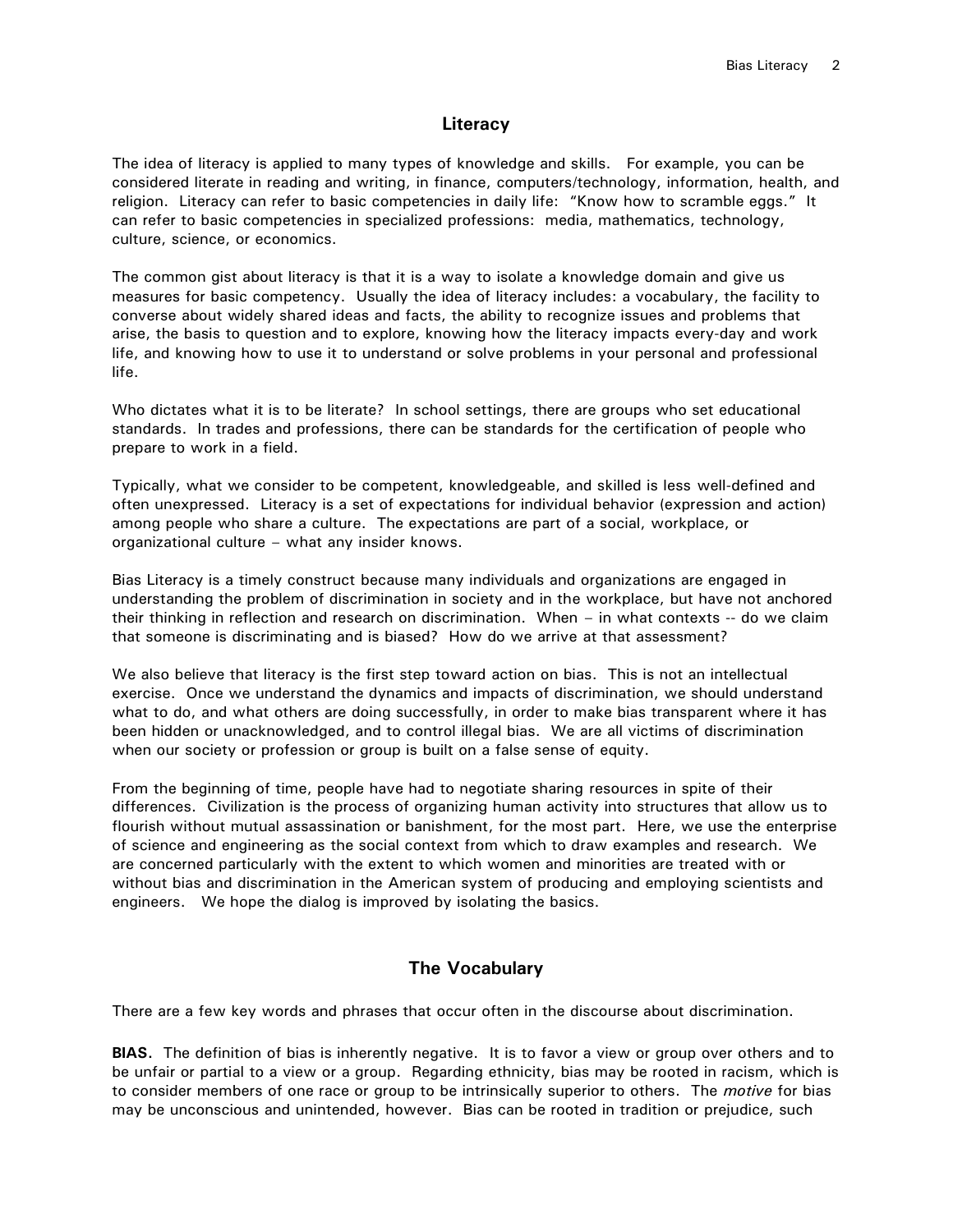## **Literacy**

The idea of literacy is applied to many types of knowledge and skills. For example, you can be considered literate in reading and writing, in finance, computers/technology, information, health, and religion. Literacy can refer to basic competencies in daily life: "Know how to scramble eggs." It can refer to basic competencies in specialized professions: media, mathematics, technology, culture, science, or economics.

The common gist about literacy is that it is a way to isolate a knowledge domain and give us measures for basic competency. Usually the idea of literacy includes: a vocabulary, the facility to converse about widely shared ideas and facts, the ability to recognize issues and problems that arise, the basis to question and to explore, knowing how the literacy impacts every-day and work life, and knowing how to use it to understand or solve problems in your personal and professional life.

Who dictates what it is to be literate? In school settings, there are groups who set educational standards. In trades and professions, there can be standards for the certification of people who prepare to work in a field.

Typically, what we consider to be competent, knowledgeable, and skilled is less well-defined and often unexpressed. Literacy is a set of expectations for individual behavior (expression and action) among people who share a culture. The expectations are part of a social, workplace, or organizational culture – what any insider knows.

Bias Literacy is a timely construct because many individuals and organizations are engaged in understanding the problem of discrimination in society and in the workplace, but have not anchored their thinking in reflection and research on discrimination. When – in what contexts -- do we claim that someone is discriminating and is biased? How do we arrive at that assessment?

We also believe that literacy is the first step toward action on bias. This is not an intellectual exercise. Once we understand the dynamics and impacts of discrimination, we should understand what to do, and what others are doing successfully, in order to make bias transparent where it has been hidden or unacknowledged, and to control illegal bias. We are all victims of discrimination when our society or profession or group is built on a false sense of equity.

From the beginning of time, people have had to negotiate sharing resources in spite of their differences. Civilization is the process of organizing human activity into structures that allow us to flourish without mutual assassination or banishment, for the most part. Here, we use the enterprise of science and engineering as the social context from which to draw examples and research. We are concerned particularly with the extent to which women and minorities are treated with or without bias and discrimination in the American system of producing and employing scientists and engineers. We hope the dialog is improved by isolating the basics.

## **The Vocabulary**

There are a few key words and phrases that occur often in the discourse about discrimination.

**BIAS.** The definition of bias is inherently negative. It is to favor a view or group over others and to be unfair or partial to a view or a group. Regarding ethnicity, bias may be rooted in racism, which is to consider members of one race or group to be intrinsically superior to others. The *motive* for bias may be unconscious and unintended, however. Bias can be rooted in tradition or prejudice, such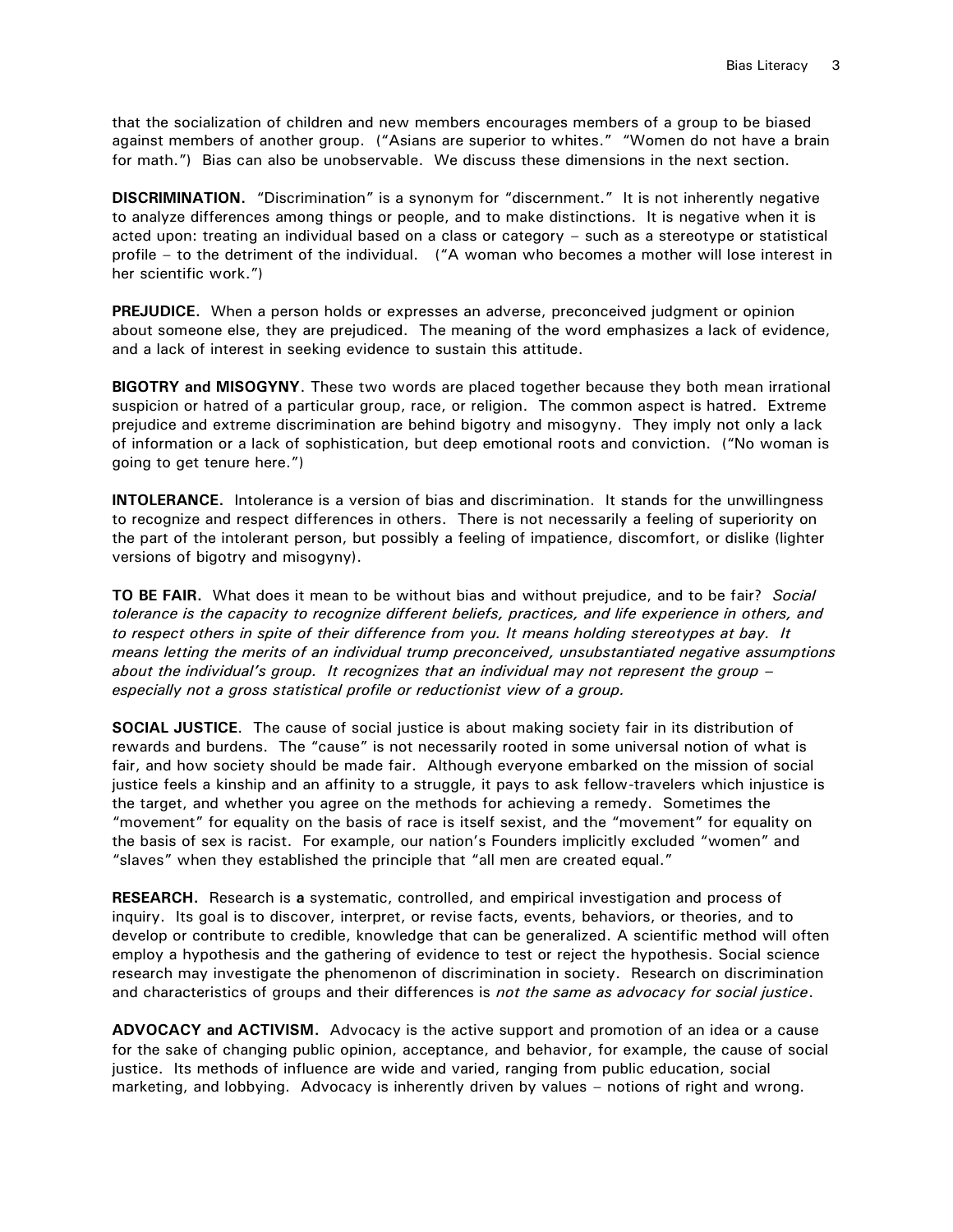that the socialization of children and new members encourages members of a group to be biased against members of another group. ("Asians are superior to whites." "Women do not have a brain for math.") Bias can also be unobservable. We discuss these dimensions in the next section.

**DISCRIMINATION.** "Discrimination" is a synonym for "discernment." It is not inherently negative to analyze differences among things or people, and to make distinctions. It is negative when it is acted upon: treating an individual based on a class or category – such as a stereotype or statistical profile – to the detriment of the individual. ("A woman who becomes a mother will lose interest in her scientific work.")

**PREJUDICE.** When a person holds or expresses an adverse, preconceived judgment or opinion about someone else, they are prejudiced. The meaning of the word emphasizes a lack of evidence, and a lack of interest in seeking evidence to sustain this attitude.

**BIGOTRY and MISOGYNY**. These two words are placed together because they both mean irrational suspicion or hatred of a particular group, race, or religion. The common aspect is hatred. Extreme prejudice and extreme discrimination are behind bigotry and misogyny. They imply not only a lack of information or a lack of sophistication, but deep emotional roots and conviction. ("No woman is going to get tenure here.")

**INTOLERANCE.** Intolerance is a version of bias and discrimination. It stands for the unwillingness to recognize and respect differences in others. There is not necessarily a feeling of superiority on the part of the intolerant person, but possibly a feeling of impatience, discomfort, or dislike (lighter versions of bigotry and misogyny).

**TO BE FAIR.** What does it mean to be without bias and without prejudice, and to be fair? *Social tolerance is the capacity to recognize different beliefs, practices, and life experience in others, and to respect others in spite of their difference from you. It means holding stereotypes at bay. It means letting the merits of an individual trump preconceived, unsubstantiated negative assumptions about the individual's group. It recognizes that an individual may not represent the group – especially not a gross statistical profile or reductionist view of a group.*

**SOCIAL JUSTICE**. The cause of social justice is about making society fair in its distribution of rewards and burdens. The "cause" is not necessarily rooted in some universal notion of what is fair, and how society should be made fair. Although everyone embarked on the mission of social justice feels a kinship and an affinity to a struggle, it pays to ask fellow-travelers which injustice is the target, and whether you agree on the methods for achieving a remedy. Sometimes the "movement" for equality on the basis of race is itself sexist, and the "movement" for equality on the basis of sex is racist. For example, our nation's Founders implicitly excluded "women" and "slaves" when they established the principle that "all men are created equal."

**RESEARCH.** Research is **a** systematic, controlled, and empirical investigation and process of inquiry. Its goal is to discover, interpret, or revise facts, events, behaviors, or theories, and to develop or contribute to credible, knowledge that can be generalized. A scientific method will often employ a hypothesis and the gathering of evidence to test or reject the hypothesis. Social science research may investigate the phenomenon of discrimination in society. Research on discrimination and characteristics of groups and their differences is *not the same as advocacy for social justice*.

**ADVOCACY and ACTIVISM.** Advocacy is the active support and promotion of an idea or a cause for the sake of changing public opinion, acceptance, and behavior, for example, the cause of social justice. Its methods of influence are wide and varied, ranging from public education, social marketing, and lobbying. Advocacy is inherently driven by values – notions of right and wrong.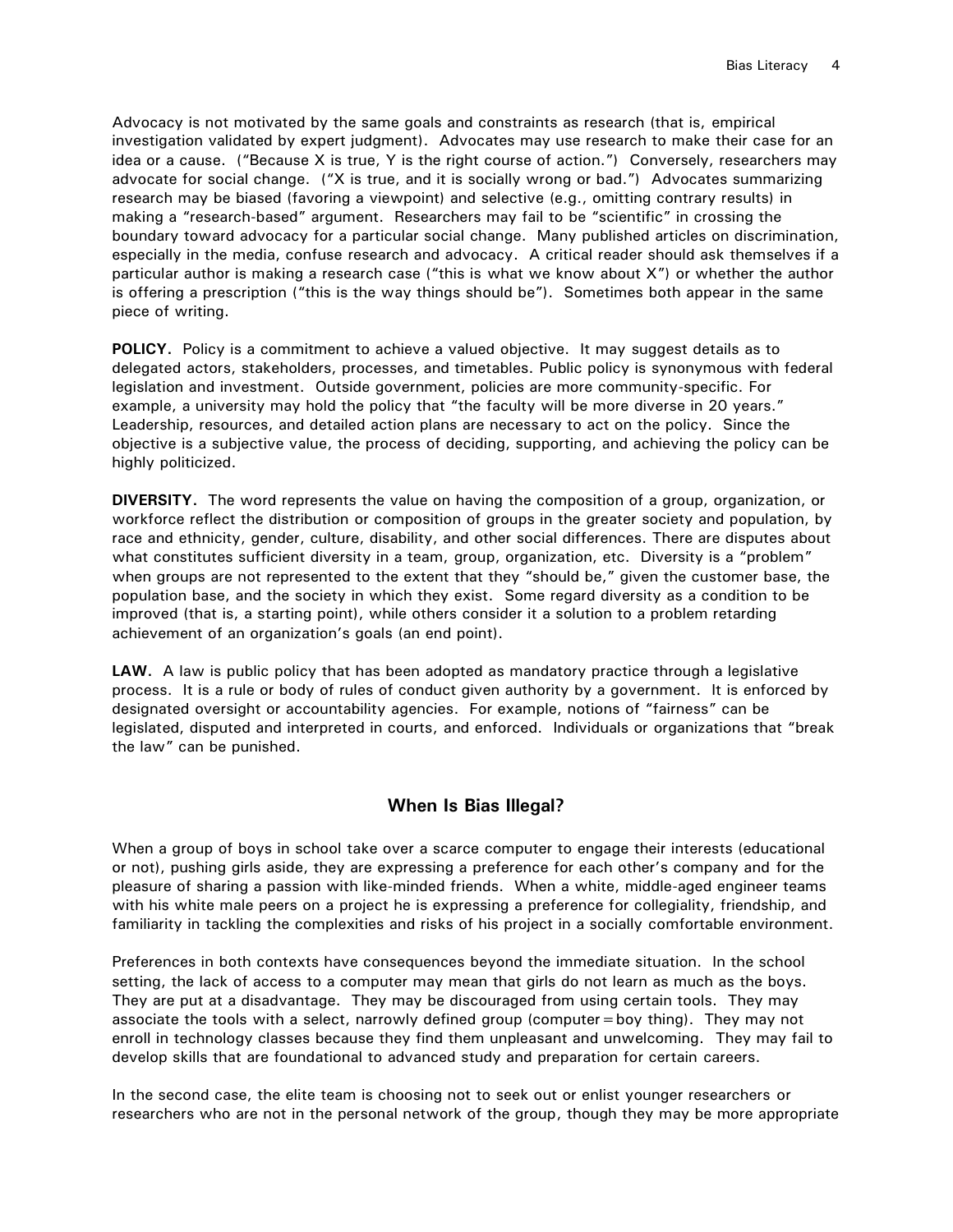Advocacy is not motivated by the same goals and constraints as research (that is, empirical investigation validated by expert judgment). Advocates may use research to make their case for an idea or a cause. ("Because X is true, Y is the right course of action.") Conversely, researchers may advocate for social change. ("X is true, and it is socially wrong or bad.") Advocates summarizing research may be biased (favoring a viewpoint) and selective (e.g., omitting contrary results) in making a "research-based" argument. Researchers may fail to be "scientific" in crossing the boundary toward advocacy for a particular social change. Many published articles on discrimination, especially in the media, confuse research and advocacy. A critical reader should ask themselves if a particular author is making a research case ("this is what we know about X") or whether the author is offering a prescription ("this is the way things should be"). Sometimes both appear in the same piece of writing.

**POLICY.** Policy is a commitment to achieve a valued objective. It may suggest details as to delegated actors, stakeholders, processes, and timetables. Public policy is synonymous with federal legislation and investment. Outside government, policies are more community-specific. For example, a university may hold the policy that "the faculty will be more diverse in 20 years." Leadership, resources, and detailed action plans are necessary to act on the policy. Since the objective is a subjective value, the process of deciding, supporting, and achieving the policy can be highly politicized.

**DIVERSITY.** The word represents the value on having the composition of a group, organization, or workforce reflect the distribution or composition of groups in the greater society and population, by race and ethnicity, gender, culture, disability, and other social differences. There are disputes about what constitutes sufficient diversity in a team, group, organization, etc. Diversity is a "problem" when groups are not represented to the extent that they "should be," given the customer base, the population base, and the society in which they exist. Some regard diversity as a condition to be improved (that is, a starting point), while others consider it a solution to a problem retarding achievement of an organization's goals (an end point).

**LAW.** A law is public policy that has been adopted as mandatory practice through a legislative process. It is a rule or body of rules of conduct given authority by a government. It is enforced by designated oversight or accountability agencies. For example, notions of "fairness" can be legislated, disputed and interpreted in courts, and enforced. Individuals or organizations that "break the law" can be punished.

## **When Is Bias Illegal?**

When a group of boys in school take over a scarce computer to engage their interests (educational or not), pushing girls aside, they are expressing a preference for each other's company and for the pleasure of sharing a passion with like-minded friends. When a white, middle-aged engineer teams with his white male peers on a project he is expressing a preference for collegiality, friendship, and familiarity in tackling the complexities and risks of his project in a socially comfortable environment.

Preferences in both contexts have consequences beyond the immediate situation. In the school setting, the lack of access to a computer may mean that girls do not learn as much as the boys. They are put at a disadvantage. They may be discouraged from using certain tools. They may associate the tools with a select, narrowly defined group (computer=boy thing). They may not enroll in technology classes because they find them unpleasant and unwelcoming. They may fail to develop skills that are foundational to advanced study and preparation for certain careers.

In the second case, the elite team is choosing not to seek out or enlist younger researchers or researchers who are not in the personal network of the group, though they may be more appropriate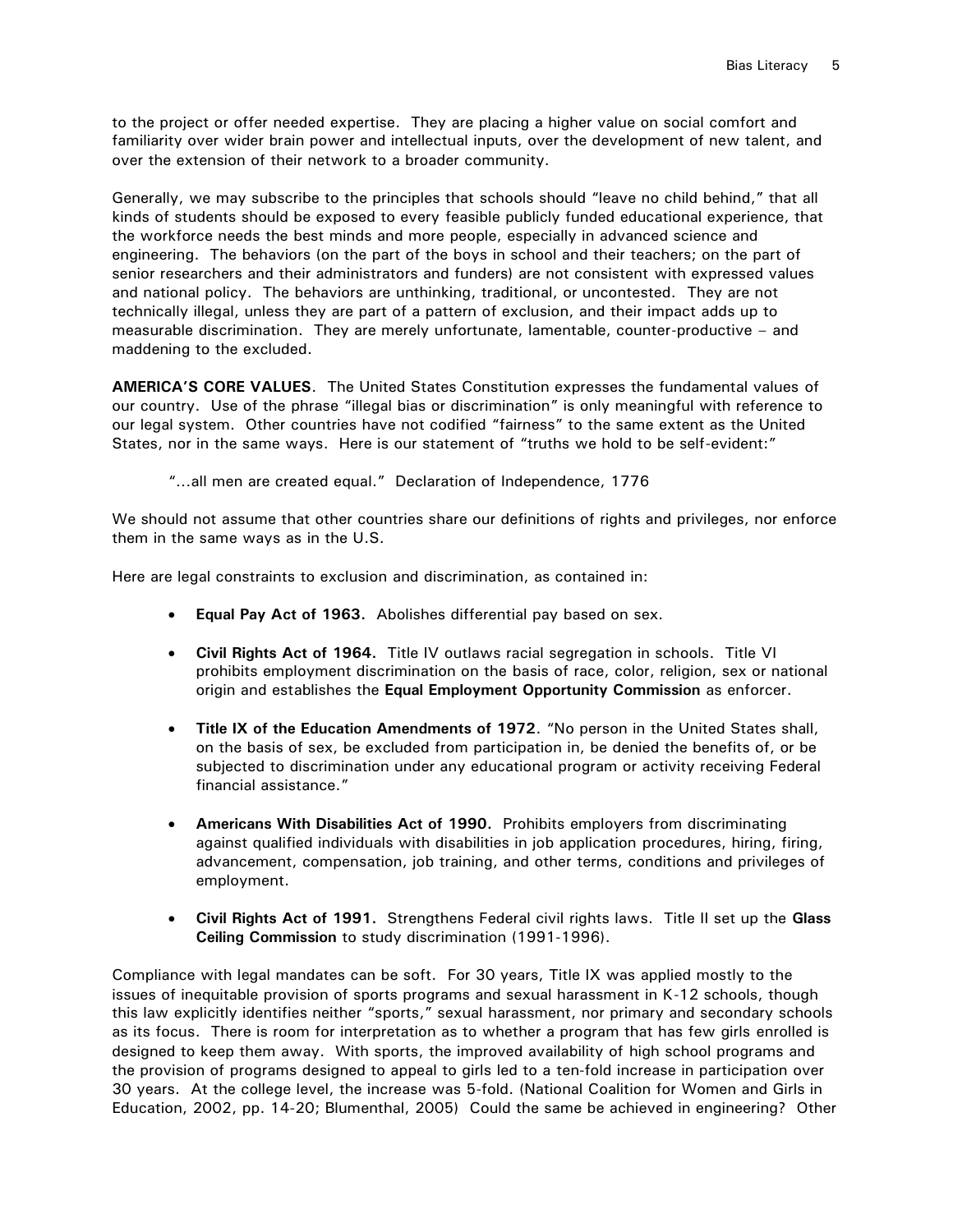to the project or offer needed expertise. They are placing a higher value on social comfort and familiarity over wider brain power and intellectual inputs, over the development of new talent, and over the extension of their network to a broader community.

Generally, we may subscribe to the principles that schools should "leave no child behind," that all kinds of students should be exposed to every feasible publicly funded educational experience, that the workforce needs the best minds and more people, especially in advanced science and engineering. The behaviors (on the part of the boys in school and their teachers; on the part of senior researchers and their administrators and funders) are not consistent with expressed values and national policy. The behaviors are unthinking, traditional, or uncontested. They are not technically illegal, unless they are part of a pattern of exclusion, and their impact adds up to measurable discrimination. They are merely unfortunate, lamentable, counter-productive – and maddening to the excluded.

**AMERICA'S CORE VALUES**. The United States Constitution expresses the fundamental values of our country. Use of the phrase "illegal bias or discrimination" is only meaningful with reference to our legal system. Other countries have not codified "fairness" to the same extent as the United States, nor in the same ways. Here is our statement of "truths we hold to be self-evident:"

"…all men are created equal." Declaration of Independence, 1776

We should not assume that other countries share our definitions of rights and privileges, nor enforce them in the same ways as in the U.S.

Here are legal constraints to exclusion and discrimination, as contained in:

- **Equal Pay Act of 1963.** Abolishes differential pay based on sex.
- **Civil Rights Act of 1964.** Title IV outlaws racial segregation in schools. Title VI prohibits employment discrimination on the basis of race, color, religion, sex or national origin and establishes the **Equal Employment Opportunity Commission** as enforcer.
- **Title IX of the Education Amendments of 1972**. "No person in the United States shall, on the basis of sex, be excluded from participation in, be denied the benefits of, or be subjected to discrimination under any educational program or activity receiving Federal financial assistance."
- **Americans With Disabilities Act of 1990.** Prohibits employers from discriminating against qualified individuals with disabilities in job application procedures, hiring, firing, advancement, compensation, job training, and other terms, conditions and privileges of employment.
- **Civil Rights Act of 1991.** Strengthens Federal civil rights laws. Title II set up the **Glass Ceiling Commission** to study discrimination (1991-1996).

Compliance with legal mandates can be soft. For 30 years, Title IX was applied mostly to the issues of inequitable provision of sports programs and sexual harassment in K-12 schools, though this law explicitly identifies neither "sports," sexual harassment, nor primary and secondary schools as its focus. There is room for interpretation as to whether a program that has few girls enrolled is designed to keep them away. With sports, the improved availability of high school programs and the provision of programs designed to appeal to girls led to a ten-fold increase in participation over 30 years. At the college level, the increase was 5-fold. (National Coalition for Women and Girls in Education, 2002, pp. 14-20; Blumenthal, 2005) Could the same be achieved in engineering? Other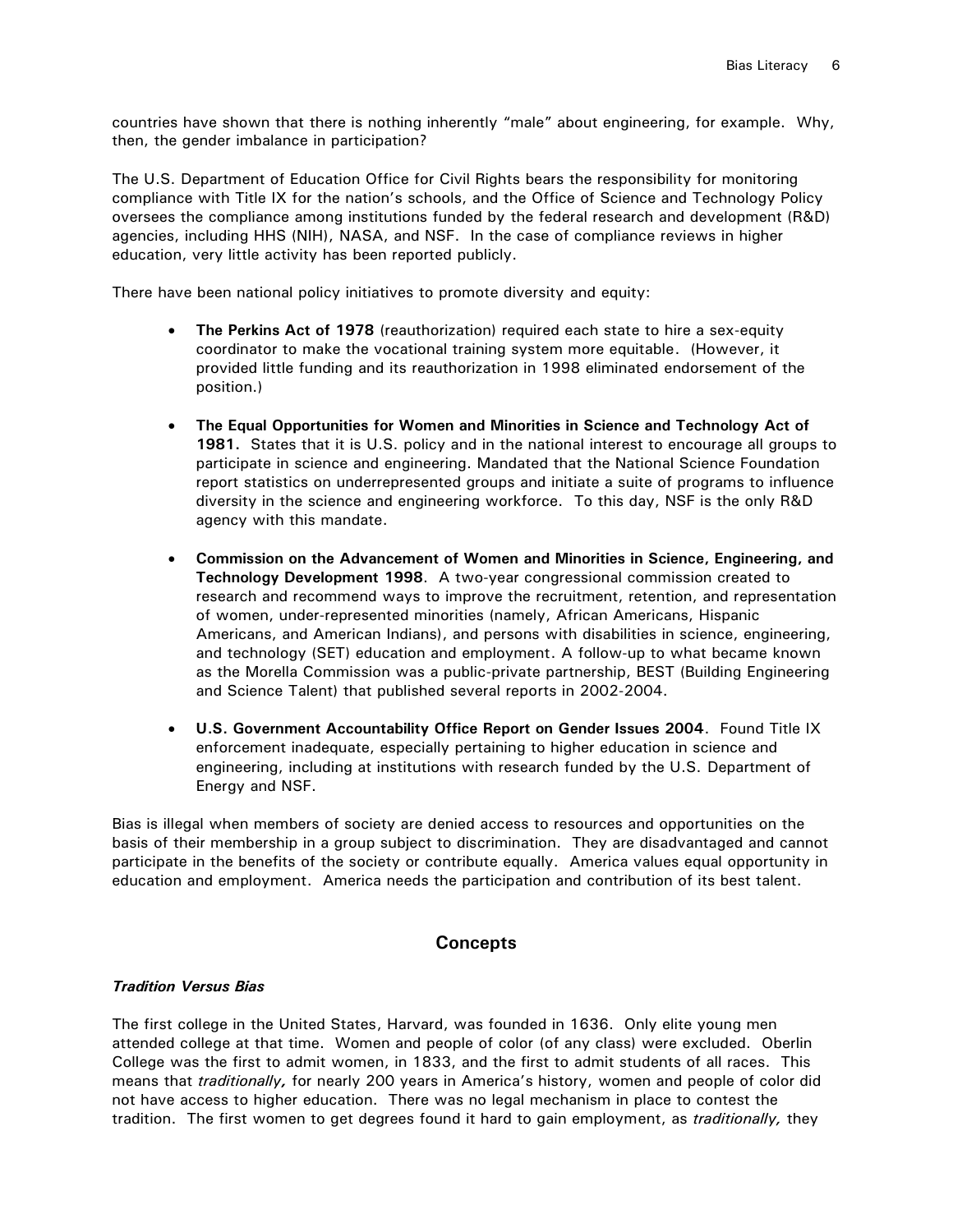countries have shown that there is nothing inherently "male" about engineering, for example. Why, then, the gender imbalance in participation?

The U.S. Department of Education Office for Civil Rights bears the responsibility for monitoring compliance with Title IX for the nation's schools, and the Office of Science and Technology Policy oversees the compliance among institutions funded by the federal research and development (R&D) agencies, including HHS (NIH), NASA, and NSF. In the case of compliance reviews in higher education, very little activity has been reported publicly.

There have been national policy initiatives to promote diversity and equity:

- **The Perkins Act of 1978** (reauthorization) required each state to hire a sex-equity coordinator to make the vocational training system more equitable. (However, it provided little funding and its reauthorization in 1998 eliminated endorsement of the position.)
- **The Equal Opportunities for Women and Minorities in Science and Technology Act of 1981.** States that it is U.S. policy and in the national interest to encourage all groups to participate in science and engineering. Mandated that the National Science Foundation report statistics on underrepresented groups and initiate a suite of programs to influence diversity in the science and engineering workforce. To this day, NSF is the only R&D agency with this mandate.
- **Commission on the Advancement of Women and Minorities in Science, Engineering, and Technology Development 1998**. A two-year congressional commission created to research and recommend ways to improve the recruitment, retention, and representation of women, under-represented minorities (namely, African Americans, Hispanic Americans, and American Indians), and persons with disabilities in science, engineering, and technology (SET) education and employment. A follow-up to what became known as the Morella Commission was a public-private partnership, BEST (Building Engineering and Science Talent) that published several reports in 2002-2004.
- **U.S. Government Accountability Office Report on Gender Issues 2004**. Found Title IX enforcement inadequate, especially pertaining to higher education in science and engineering, including at institutions with research funded by the U.S. Department of Energy and NSF.

Bias is illegal when members of society are denied access to resources and opportunities on the basis of their membership in a group subject to discrimination. They are disadvantaged and cannot participate in the benefits of the society or contribute equally. America values equal opportunity in education and employment. America needs the participation and contribution of its best talent.

## **Concepts**

## *Tradition Versus Bias*

The first college in the United States, Harvard, was founded in 1636. Only elite young men attended college at that time. Women and people of color (of any class) were excluded. Oberlin College was the first to admit women, in 1833, and the first to admit students of all races. This means that *traditionally*, for nearly 200 years in America's history, women and people of color did not have access to higher education. There was no legal mechanism in place to contest the tradition. The first women to get degrees found it hard to gain employment, as *traditionally,* they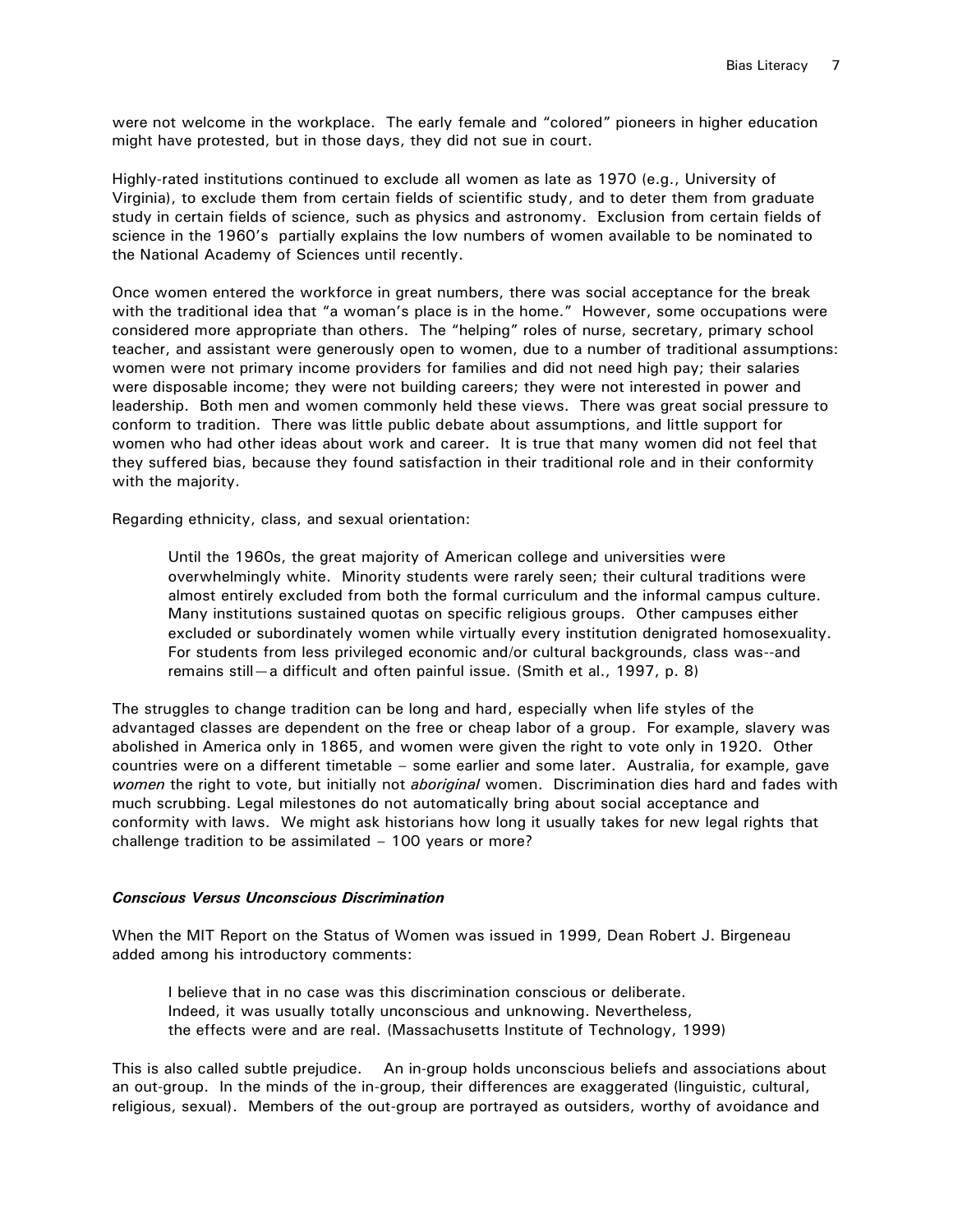were not welcome in the workplace. The early female and "colored" pioneers in higher education might have protested, but in those days, they did not sue in court.

Highly-rated institutions continued to exclude all women as late as 1970 (e.g., University of Virginia), to exclude them from certain fields of scientific study, and to deter them from graduate study in certain fields of science, such as physics and astronomy. Exclusion from certain fields of science in the 1960's partially explains the low numbers of women available to be nominated to the National Academy of Sciences until recently.

Once women entered the workforce in great numbers, there was social acceptance for the break with the traditional idea that "a woman's place is in the home." However, some occupations were considered more appropriate than others. The "helping" roles of nurse, secretary, primary school teacher, and assistant were generously open to women, due to a number of traditional assumptions: women were not primary income providers for families and did not need high pay; their salaries were disposable income; they were not building careers; they were not interested in power and leadership. Both men and women commonly held these views. There was great social pressure to conform to tradition. There was little public debate about assumptions, and little support for women who had other ideas about work and career. It is true that many women did not feel that they suffered bias, because they found satisfaction in their traditional role and in their conformity with the majority.

Regarding ethnicity, class, and sexual orientation:

Until the 1960s, the great majority of American college and universities were overwhelmingly white. Minority students were rarely seen; their cultural traditions were almost entirely excluded from both the formal curriculum and the informal campus culture. Many institutions sustained quotas on specific religious groups. Other campuses either excluded or subordinately women while virtually every institution denigrated homosexuality. For students from less privileged economic and/or cultural backgrounds, class was--and remains still—a difficult and often painful issue. (Smith et al., 1997, p. 8)

The struggles to change tradition can be long and hard, especially when life styles of the advantaged classes are dependent on the free or cheap labor of a group. For example, slavery was abolished in America only in 1865, and women were given the right to vote only in 1920. Other countries were on a different timetable – some earlier and some later. Australia, for example, gave *women* the right to vote, but initially not *aboriginal* women. Discrimination dies hard and fades with much scrubbing. Legal milestones do not automatically bring about social acceptance and conformity with laws. We might ask historians how long it usually takes for new legal rights that challenge tradition to be assimilated – 100 years or more?

## *Conscious Versus Unconscious Discrimination*

When the MIT Report on the Status of Women was issued in 1999, Dean Robert J. Birgeneau added among his introductory comments:

I believe that in no case was this discrimination conscious or deliberate. Indeed, it was usually totally unconscious and unknowing. Nevertheless, the effects were and are real. (Massachusetts Institute of Technology, 1999)

This is also called subtle prejudice. An in-group holds unconscious beliefs and associations about an out-group. In the minds of the in-group, their differences are exaggerated (linguistic, cultural, religious, sexual). Members of the out-group are portrayed as outsiders, worthy of avoidance and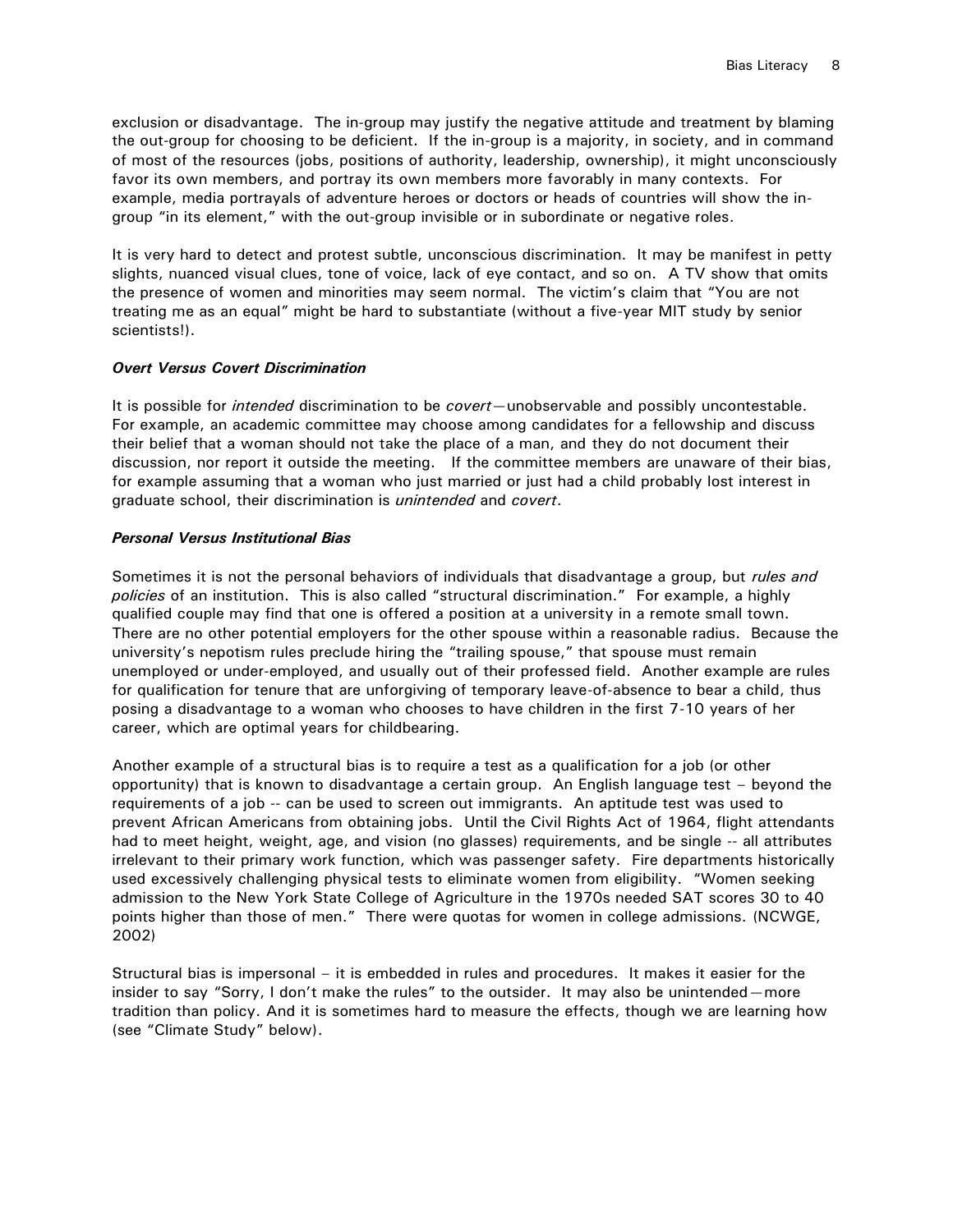exclusion or disadvantage. The in-group may justify the negative attitude and treatment by blaming the out-group for choosing to be deficient. If the in-group is a majority, in society, and in command of most of the resources (jobs, positions of authority, leadership, ownership), it might unconsciously favor its own members, and portray its own members more favorably in many contexts. For example, media portrayals of adventure heroes or doctors or heads of countries will show the ingroup "in its element," with the out-group invisible or in subordinate or negative roles.

It is very hard to detect and protest subtle, unconscious discrimination. It may be manifest in petty slights, nuanced visual clues, tone of voice, lack of eye contact, and so on. A TV show that omits the presence of women and minorities may seem normal. The victim's claim that "You are not treating me as an equal" might be hard to substantiate (without a five-year MIT study by senior scientists!).

## *Overt Versus Covert Discrimination*

It is possible for *intended* discrimination to be *covert*—unobservable and possibly uncontestable. For example, an academic committee may choose among candidates for a fellowship and discuss their belief that a woman should not take the place of a man, and they do not document their discussion, nor report it outside the meeting. If the committee members are unaware of their bias, for example assuming that a woman who just married or just had a child probably lost interest in graduate school, their discrimination is *unintended* and *covert*.

## *Personal Versus Institutional Bias*

Sometimes it is not the personal behaviors of individuals that disadvantage a group, but *rules and policies* of an institution. This is also called "structural discrimination." For example, a highly qualified couple may find that one is offered a position at a university in a remote small town. There are no other potential employers for the other spouse within a reasonable radius. Because the university's nepotism rules preclude hiring the "trailing spouse," that spouse must remain unemployed or under-employed, and usually out of their professed field. Another example are rules for qualification for tenure that are unforgiving of temporary leave-of-absence to bear a child, thus posing a disadvantage to a woman who chooses to have children in the first 7-10 years of her career, which are optimal years for childbearing.

Another example of a structural bias is to require a test as a qualification for a job (or other opportunity) that is known to disadvantage a certain group. An English language test – beyond the requirements of a job -- can be used to screen out immigrants. An aptitude test was used to prevent African Americans from obtaining jobs. Until the Civil Rights Act of 1964, flight attendants had to meet height, weight, age, and vision (no glasses) requirements, and be single -- all attributes irrelevant to their primary work function, which was passenger safety. Fire departments historically used excessively challenging physical tests to eliminate women from eligibility. "Women seeking admission to the New York State College of Agriculture in the 1970s needed SAT scores 30 to 40 points higher than those of men." There were quotas for women in college admissions. (NCWGE, 2002)

Structural bias is impersonal – it is embedded in rules and procedures. It makes it easier for the insider to say "Sorry, I don't make the rules" to the outsider. It may also be unintended - more tradition than policy. And it is sometimes hard to measure the effects, though we are learning how (see "Climate Study" below).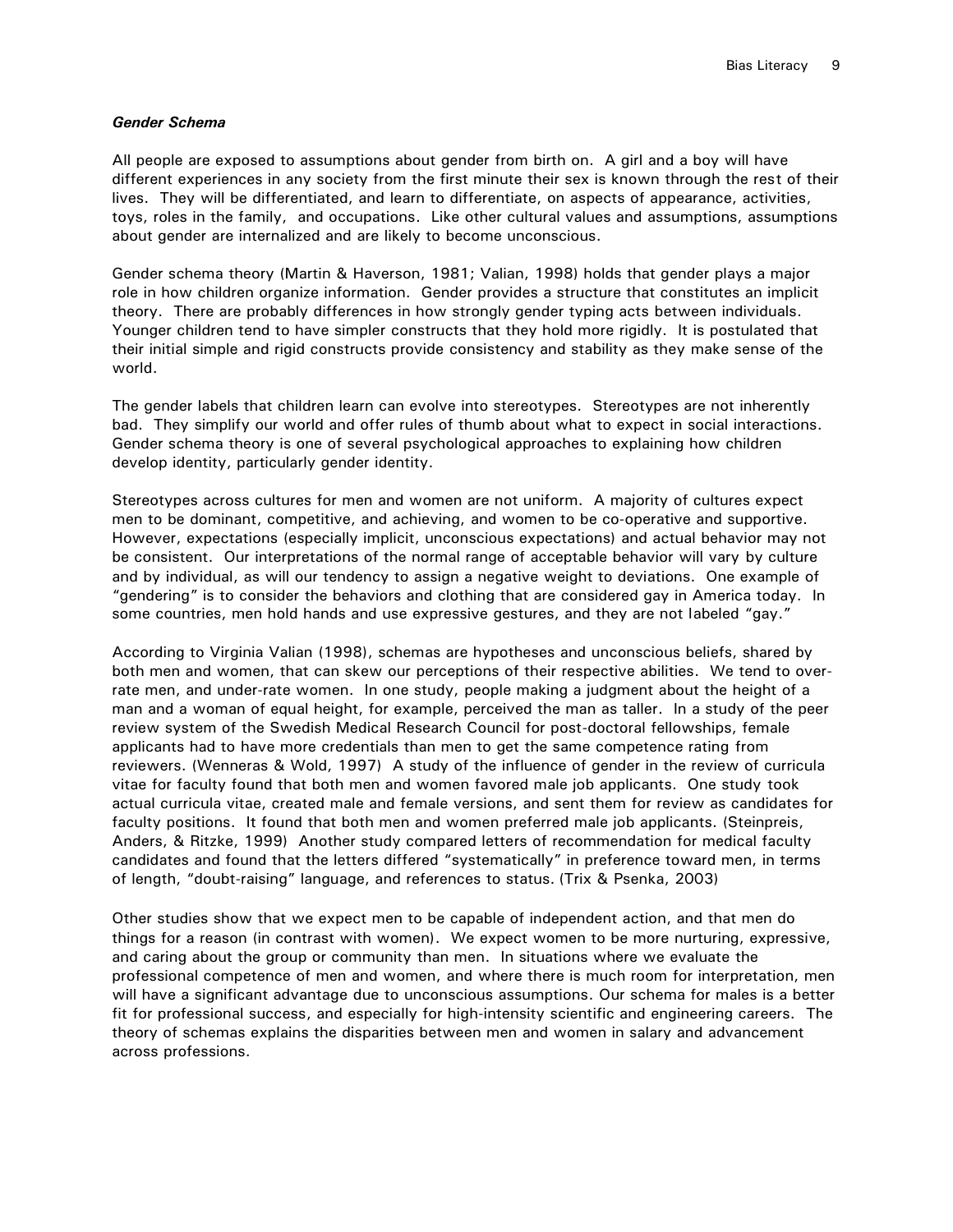#### *Gender Schema*

All people are exposed to assumptions about gender from birth on. A girl and a boy will have different experiences in any society from the first minute their sex is known through the rest of their lives. They will be differentiated, and learn to differentiate, on aspects of appearance, activities, toys, roles in the family, and occupations. Like other cultural values and assumptions, assumptions about gender are internalized and are likely to become unconscious.

Gender schema theory (Martin & Haverson, 1981; Valian, 1998) holds that gender plays a major role in how children organize information. Gender provides a structure that constitutes an implicit theory. There are probably differences in how strongly gender typing acts between individuals. Younger children tend to have simpler constructs that they hold more rigidly. It is postulated that their initial simple and rigid constructs provide consistency and stability as they make sense of the world.

The gender labels that children learn can evolve into stereotypes. Stereotypes are not inherently bad. They simplify our world and offer rules of thumb about what to expect in social interactions. Gender schema theory is one of several psychological approaches to explaining how children develop identity, particularly gender identity.

Stereotypes across cultures for men and women are not uniform. A majority of cultures expect men to be dominant, competitive, and achieving, and women to be co-operative and supportive. However, expectations (especially implicit, unconscious expectations) and actual behavior may not be consistent. Our interpretations of the normal range of acceptable behavior will vary by culture and by individual, as will our tendency to assign a negative weight to deviations. One example of "gendering" is to consider the behaviors and clothing that are considered gay in America today. In some countries, men hold hands and use expressive gestures, and they are not labeled "gay."

According to Virginia Valian (1998), schemas are hypotheses and unconscious beliefs, shared by both men and women, that can skew our perceptions of their respective abilities. We tend to overrate men, and under-rate women. In one study, people making a judgment about the height of a man and a woman of equal height, for example, perceived the man as taller. In a study of the peer review system of the Swedish Medical Research Council for post-doctoral fellowships, female applicants had to have more credentials than men to get the same competence rating from reviewers. (Wenneras & Wold, 1997) A study of the influence of gender in the review of curricula vitae for faculty found that both men and women favored male job applicants. One study took actual curricula vitae, created male and female versions, and sent them for review as candidates for faculty positions. It found that both men and women preferred male job applicants. (Steinpreis, Anders, & Ritzke, 1999) Another study compared letters of recommendation for medical faculty candidates and found that the letters differed "systematically" in preference toward men, in terms of length, "doubt-raising" language, and references to status. (Trix & Psenka, 2003)

Other studies show that we expect men to be capable of independent action, and that men do things for a reason (in contrast with women). We expect women to be more nurturing, expressive, and caring about the group or community than men. In situations where we evaluate the professional competence of men and women, and where there is much room for interpretation, men will have a significant advantage due to unconscious assumptions. Our schema for males is a better fit for professional success, and especially for high-intensity scientific and engineering careers. The theory of schemas explains the disparities between men and women in salary and advancement across professions.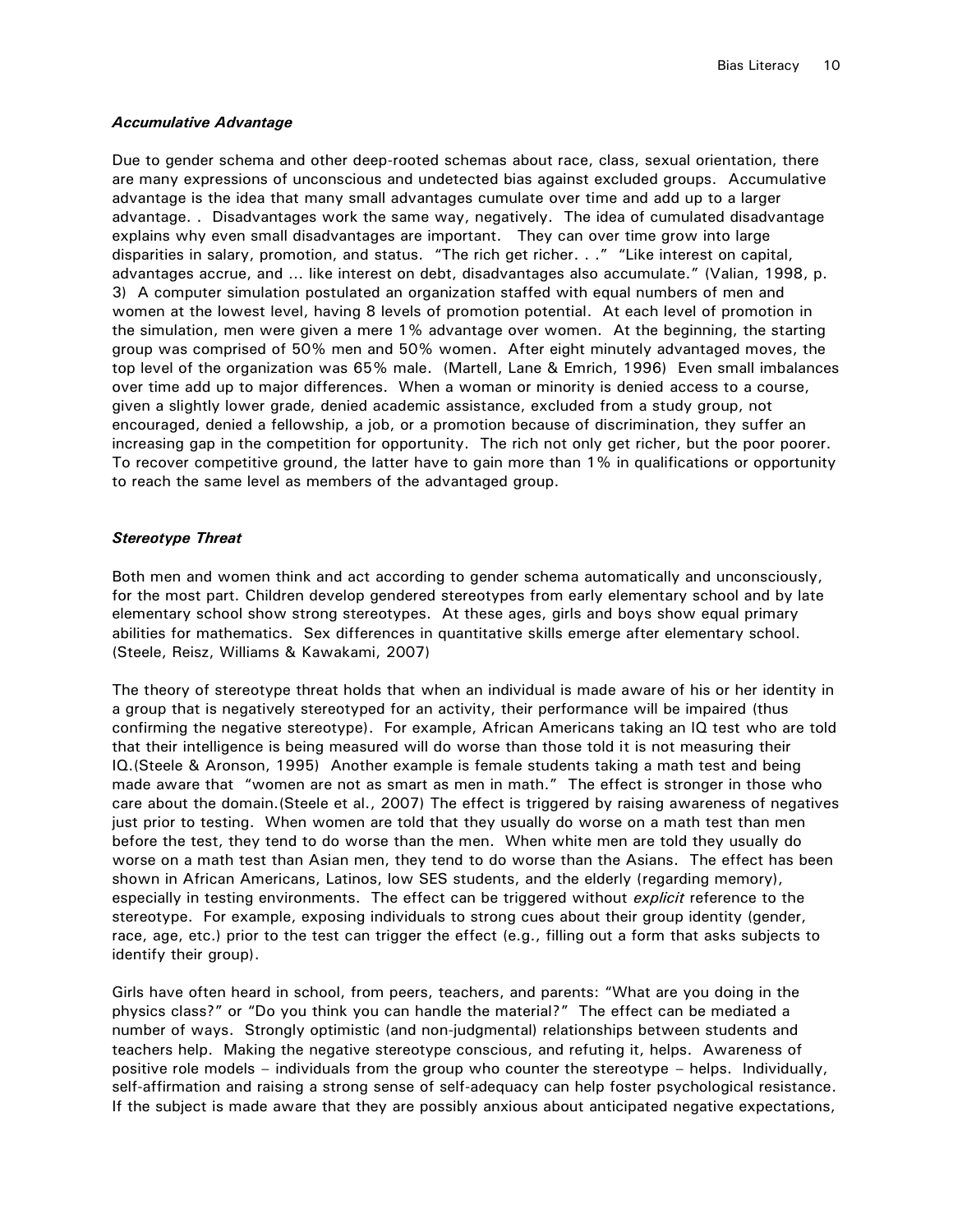#### *Accumulative Advantage*

Due to gender schema and other deep-rooted schemas about race, class, sexual orientation, there are many expressions of unconscious and undetected bias against excluded groups. Accumulative advantage is the idea that many small advantages cumulate over time and add up to a larger advantage. . Disadvantages work the same way, negatively. The idea of cumulated disadvantage explains why even small disadvantages are important. They can over time grow into large disparities in salary, promotion, and status. "The rich get richer. . ." "Like interest on capital, advantages accrue, and … like interest on debt, disadvantages also accumulate." (Valian, 1998, p. 3) A computer simulation postulated an organization staffed with equal numbers of men and women at the lowest level, having 8 levels of promotion potential. At each level of promotion in the simulation, men were given a mere 1% advantage over women. At the beginning, the starting group was comprised of 50% men and 50% women. After eight minutely advantaged moves, the top level of the organization was 65% male. (Martell, Lane & Emrich, 1996) Even small imbalances over time add up to major differences. When a woman or minority is denied access to a course, given a slightly lower grade, denied academic assistance, excluded from a study group, not encouraged, denied a fellowship, a job, or a promotion because of discrimination, they suffer an increasing gap in the competition for opportunity. The rich not only get richer, but the poor poorer. To recover competitive ground, the latter have to gain more than 1% in qualifications or opportunity to reach the same level as members of the advantaged group.

#### *Stereotype Threat*

Both men and women think and act according to gender schema automatically and unconsciously, for the most part. Children develop gendered stereotypes from early elementary school and by late elementary school show strong stereotypes. At these ages, girls and boys show equal primary abilities for mathematics. Sex differences in quantitative skills emerge after elementary school. (Steele, Reisz, Williams & Kawakami, 2007)

The theory of stereotype threat holds that when an individual is made aware of his or her identity in a group that is negatively stereotyped for an activity, their performance will be impaired (thus confirming the negative stereotype). For example, African Americans taking an IQ test who are told that their intelligence is being measured will do worse than those told it is not measuring their IQ.(Steele & Aronson, 1995) Another example is female students taking a math test and being made aware that "women are not as smart as men in math." The effect is stronger in those who care about the domain.(Steele et al., 2007) The effect is triggered by raising awareness of negatives just prior to testing. When women are told that they usually do worse on a math test than men before the test, they tend to do worse than the men. When white men are told they usually do worse on a math test than Asian men, they tend to do worse than the Asians. The effect has been shown in African Americans, Latinos, low SES students, and the elderly (regarding memory), especially in testing environments. The effect can be triggered without *explicit* reference to the stereotype. For example, exposing individuals to strong cues about their group identity (gender, race, age, etc.) prior to the test can trigger the effect (e.g., filling out a form that asks subjects to identify their group).

Girls have often heard in school, from peers, teachers, and parents: "What are you doing in the physics class?" or "Do you think you can handle the material?" The effect can be mediated a number of ways. Strongly optimistic (and non-judgmental) relationships between students and teachers help. Making the negative stereotype conscious, and refuting it, helps. Awareness of positive role models – individuals from the group who counter the stereotype – helps. Individually, self-affirmation and raising a strong sense of self-adequacy can help foster psychological resistance. If the subject is made aware that they are possibly anxious about anticipated negative expectations,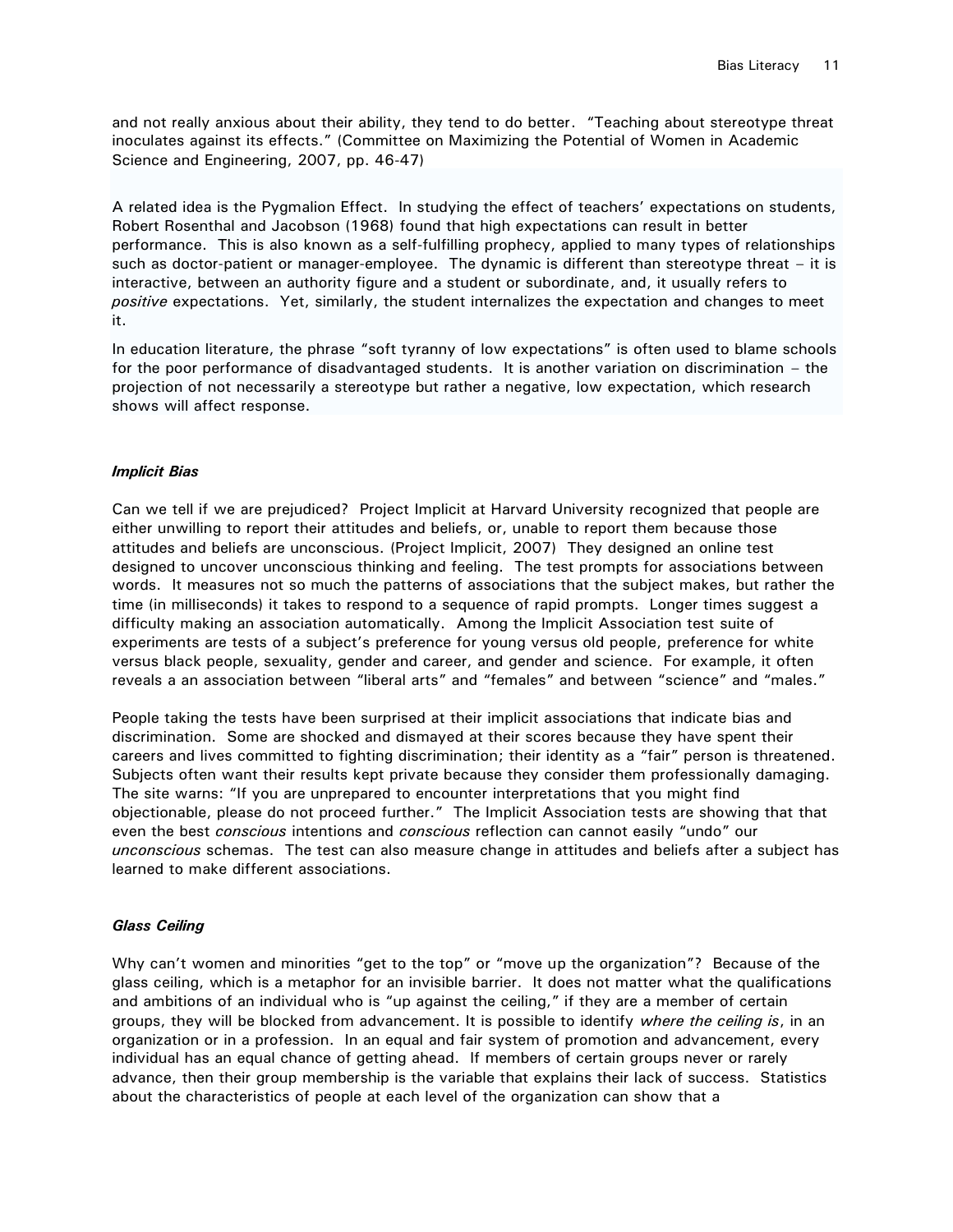and not really anxious about their ability, they tend to do better. "Teaching about stereotype threat inoculates against its effects." (Committee on Maximizing the Potential of Women in Academic Science and Engineering, 2007, pp. 46-47)

A related idea is the Pygmalion Effect. In studying the effect of teachers' expectations on students, Robert Rosenthal and Jacobson (1968) found that high expectations can result in better performance. This is also known as a self-fulfilling prophecy, applied to many types of relationships such as doctor-patient or manager-employee. The dynamic is different than stereotype threat – it is interactive, between an authority figure and a student or subordinate, and, it usually refers to *positive* expectations. Yet, similarly, the student internalizes the expectation and changes to meet it.

In education literature, the phrase "soft tyranny of low expectations" is often used to blame schools for the poor performance of disadvantaged students. It is another variation on discrimination – the projection of not necessarily a stereotype but rather a negative, low expectation, which research shows will affect response.

#### *Implicit Bias*

Can we tell if we are prejudiced? Project Implicit at Harvard University recognized that people are either unwilling to report their attitudes and beliefs, or, unable to report them because those attitudes and beliefs are unconscious. (Project Implicit, 2007) They designed an online test designed to uncover unconscious thinking and feeling. The test prompts for associations between words. It measures not so much the patterns of associations that the subject makes, but rather the time (in milliseconds) it takes to respond to a sequence of rapid prompts. Longer times suggest a difficulty making an association automatically. Among the Implicit Association test suite of experiments are tests of a subject's preference for young versus old people, preference for white versus black people, sexuality, gender and career, and gender and science. For example, it often reveals a an association between "liberal arts" and "females" and between "science" and "males."

People taking the tests have been surprised at their implicit associations that indicate bias and discrimination. Some are shocked and dismayed at their scores because they have spent their careers and lives committed to fighting discrimination; their identity as a "fair" person is threatened. Subjects often want their results kept private because they consider them professionally damaging. The site warns: "If you are unprepared to encounter interpretations that you might find objectionable, please do not proceed further." The Implicit Association tests are showing that that even the best *conscious* intentions and *conscious* reflection can cannot easily "undo" our *unconscious* schemas. The test can also measure change in attitudes and beliefs after a subject has learned to make different associations.

#### *Glass Ceiling*

Why can't women and minorities "get to the top" or "move up the organization"? Because of the glass ceiling, which is a metaphor for an invisible barrier. It does not matter what the qualifications and ambitions of an individual who is "up against the ceiling," if they are a member of certain groups, they will be blocked from advancement. It is possible to identify *where the ceiling is*, in an organization or in a profession. In an equal and fair system of promotion and advancement, every individual has an equal chance of getting ahead. If members of certain groups never or rarely advance, then their group membership is the variable that explains their lack of success. Statistics about the characteristics of people at each level of the organization can show that a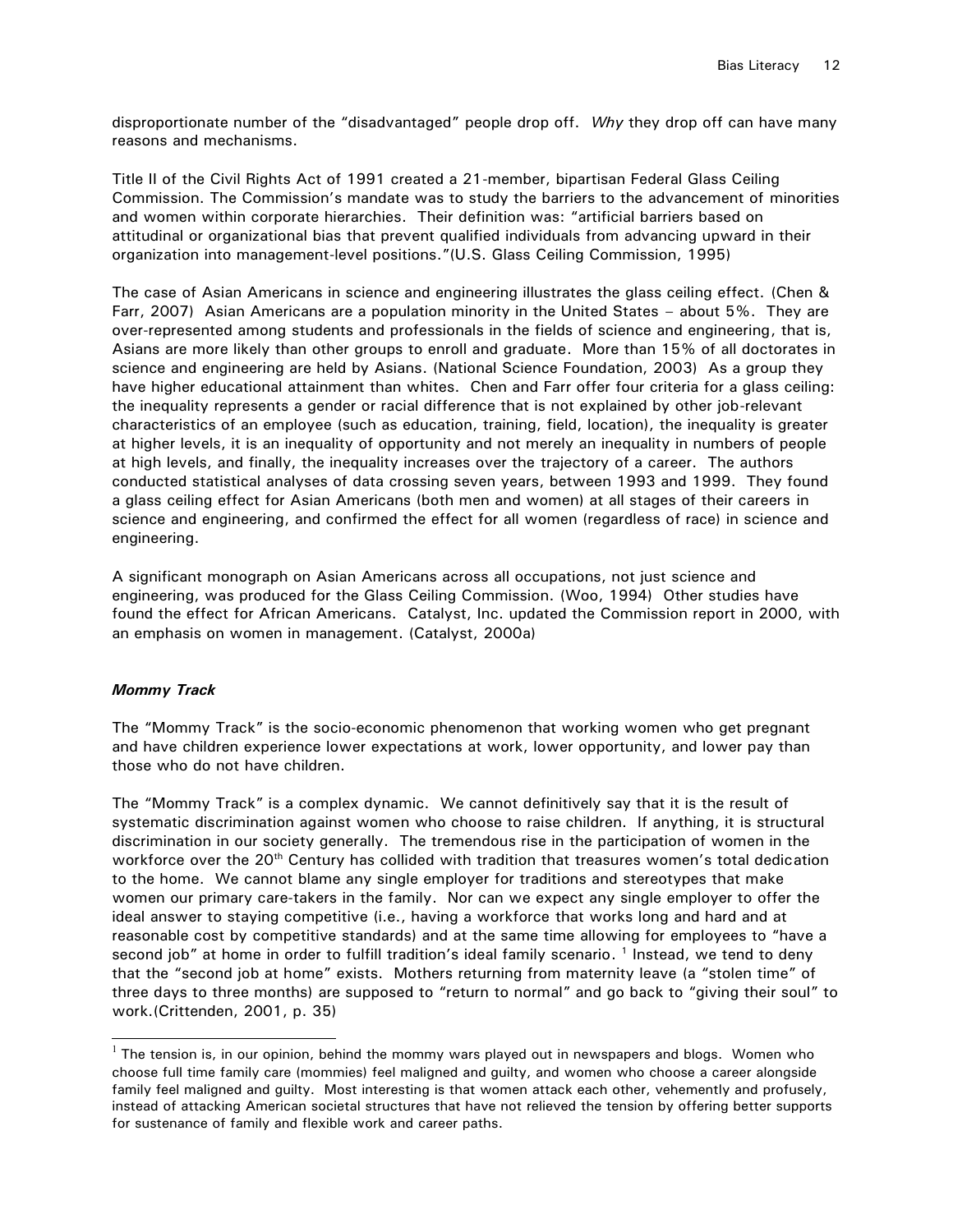disproportionate number of the "disadvantaged" people drop off. *Why* they drop off can have many reasons and mechanisms.

Title II of the Civil Rights Act of 1991 created a 21-member, bipartisan Federal Glass Ceiling Commission. The Commission's mandate was to study the barriers to the advancement of minorities and women within corporate hierarchies. Their definition was: "artificial barriers based on attitudinal or organizational bias that prevent qualified individuals from advancing upward in their organization into management-level positions."(U.S. Glass Ceiling Commission, 1995)

The case of Asian Americans in science and engineering illustrates the glass ceiling effect. (Chen & Farr, 2007) Asian Americans are a population minority in the United States – about 5%. They are over-represented among students and professionals in the fields of science and engineering, that is, Asians are more likely than other groups to enroll and graduate. More than 15% of all doctorates in science and engineering are held by Asians. (National Science Foundation, 2003) As a group they have higher educational attainment than whites. Chen and Farr offer four criteria for a glass ceiling: the inequality represents a gender or racial difference that is not explained by other job-relevant characteristics of an employee (such as education, training, field, location), the inequality is greater at higher levels, it is an inequality of opportunity and not merely an inequality in numbers of people at high levels, and finally, the inequality increases over the trajectory of a career. The authors conducted statistical analyses of data crossing seven years, between 1993 and 1999. They found a glass ceiling effect for Asian Americans (both men and women) at all stages of their careers in science and engineering, and confirmed the effect for all women (regardless of race) in science and engineering.

A significant monograph on Asian Americans across all occupations, not just science and engineering, was produced for the Glass Ceiling Commission. (Woo, 1994) Other studies have found the effect for African Americans. Catalyst, Inc. updated the Commission report in 2000, with an emphasis on women in management. (Catalyst, 2000a)

## *Mommy Track*

 $\overline{a}$ 

The "Mommy Track" is the socio-economic phenomenon that working women who get pregnant and have children experience lower expectations at work, lower opportunity, and lower pay than those who do not have children.

The "Mommy Track" is a complex dynamic. We cannot definitively say that it is the result of systematic discrimination against women who choose to raise children. If anything, it is structural discrimination in our society generally. The tremendous rise in the participation of women in the workforce over the 20<sup>th</sup> Century has collided with tradition that treasures women's total dedication to the home. We cannot blame any single employer for traditions and stereotypes that make women our primary care-takers in the family. Nor can we expect any single employer to offer the ideal answer to staying competitive (i.e., having a workforce that works long and hard and at reasonable cost by competitive standards) and at the same time allowing for employees to "have a second job" at home in order to fulfill tradition's ideal family scenario. <sup>1</sup> Instead, we tend to deny that the "second job at home" exists. Mothers returning from maternity leave (a "stolen time" of three days to three months) are supposed to "return to normal" and go back to "giving their soul" to work.(Crittenden, 2001, p. 35)

 $^1$  The tension is, in our opinion, behind the mommy wars played out in newspapers and blogs. Women who choose full time family care (mommies) feel maligned and guilty, and women who choose a career alongside family feel maligned and guilty. Most interesting is that women attack each other, vehemently and profusely, instead of attacking American societal structures that have not relieved the tension by offering better supports for sustenance of family and flexible work and career paths.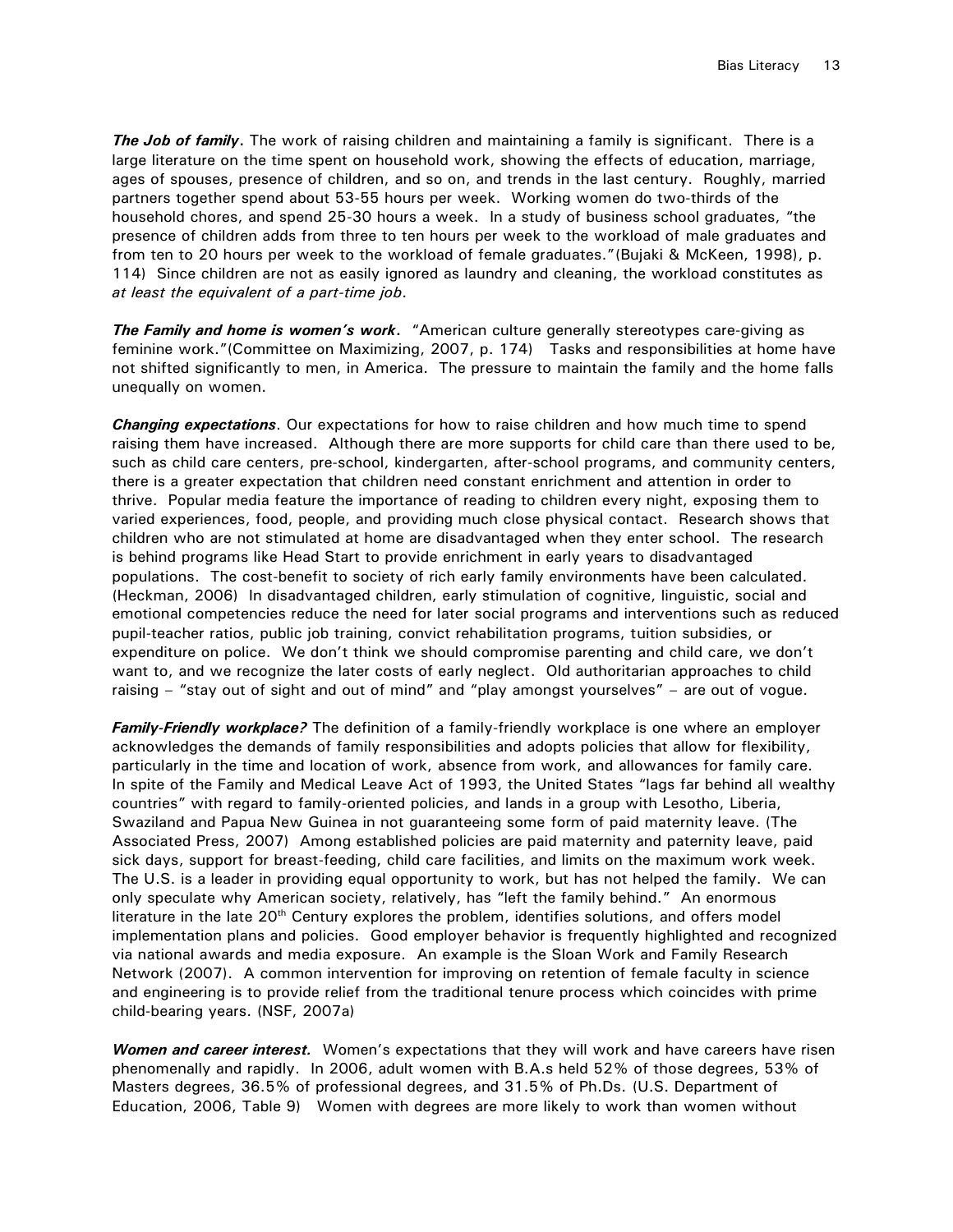**The Job of family.** The work of raising children and maintaining a family is significant. There is a large literature on the time spent on household work, showing the effects of education, marriage, ages of spouses, presence of children, and so on, and trends in the last century. Roughly, married partners together spend about 53-55 hours per week. Working women do two-thirds of the household chores, and spend 25-30 hours a week. In a study of business school graduates, "the presence of children adds from three to ten hours per week to the workload of male graduates and from ten to 20 hours per week to the workload of female graduates."(Bujaki & McKeen, 1998), p. 114) Since children are not as easily ignored as laundry and cleaning, the workload constitutes as *at least the equivalent of a part-time job*.

*The Family and home is women's work***.** "American culture generally stereotypes care-giving as feminine work."(Committee on Maximizing, 2007, p. 174) Tasks and responsibilities at home have not shifted significantly to men, in America. The pressure to maintain the family and the home falls unequally on women.

*Changing expectations*. Our expectations for how to raise children and how much time to spend raising them have increased. Although there are more supports for child care than there used to be, such as child care centers, pre-school, kindergarten, after-school programs, and community centers, there is a greater expectation that children need constant enrichment and attention in order to thrive. Popular media feature the importance of reading to children every night, exposing them to varied experiences, food, people, and providing much close physical contact. Research shows that children who are not stimulated at home are disadvantaged when they enter school. The research is behind programs like Head Start to provide enrichment in early years to disadvantaged populations. The cost-benefit to society of rich early family environments have been calculated. (Heckman, 2006) In disadvantaged children, early stimulation of cognitive, linguistic, social and emotional competencies reduce the need for later social programs and interventions such as reduced pupil-teacher ratios, public job training, convict rehabilitation programs, tuition subsidies, or expenditure on police. We don't think we should compromise parenting and child care, we don't want to, and we recognize the later costs of early neglect. Old authoritarian approaches to child raising – "stay out of sight and out of mind" and "play amongst yourselves" – are out of vogue.

*Family-Friendly workplace?* The definition of a family-friendly workplace is one where an employer acknowledges the demands of family responsibilities and adopts policies that allow for flexibility, particularly in the time and location of work, absence from work, and allowances for family care. In spite of the Family and Medical Leave Act of 1993, the United States "lags far behind all wealthy countries" with regard to family-oriented policies, and lands in a group with Lesotho, Liberia, Swaziland and Papua New Guinea in not guaranteeing some form of paid maternity leave. (The Associated Press, 2007) Among established policies are paid maternity and paternity leave, paid sick days, support for breast-feeding, child care facilities, and limits on the maximum work week. The U.S. is a leader in providing equal opportunity to work, but has not helped the family. We can only speculate why American society, relatively, has "left the family behind." An enormous literature in the late  $20<sup>th</sup>$  Century explores the problem, identifies solutions, and offers model implementation plans and policies. Good employer behavior is frequently highlighted and recognized via national awards and media exposure. An example is the Sloan Work and Family Research Network (2007). A common intervention for improving on retention of female faculty in science and engineering is to provide relief from the traditional tenure process which coincides with prime child-bearing years. (NSF, 2007a)

*Women and career interest.* Women's expectations that they will work and have careers have risen phenomenally and rapidly. In 2006, adult women with B.A.s held 52% of those degrees, 53% of Masters degrees, 36.5% of professional degrees, and 31.5% of Ph.Ds. (U.S. Department of Education, 2006, Table 9) Women with degrees are more likely to work than women without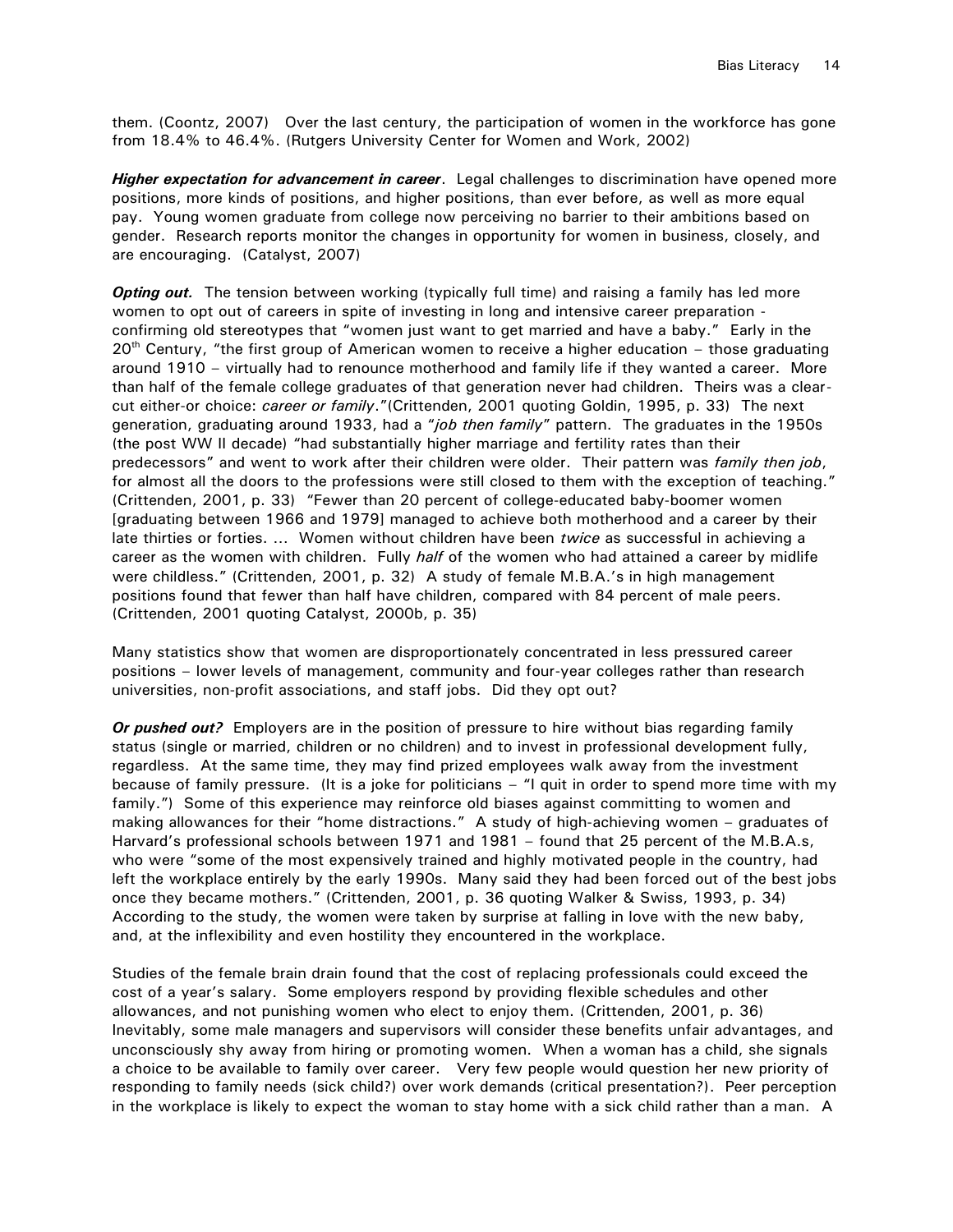them. (Coontz, 2007) Over the last century, the participation of women in the workforce has gone from 18.4% to 46.4%. (Rutgers University Center for Women and Work, 2002)

*Higher expectation for advancement in career*. Legal challenges to discrimination have opened more positions, more kinds of positions, and higher positions, than ever before, as well as more equal pay. Young women graduate from college now perceiving no barrier to their ambitions based on gender. Research reports monitor the changes in opportunity for women in business, closely, and are encouraging. (Catalyst, 2007)

**Opting out.** The tension between working (typically full time) and raising a family has led more women to opt out of careers in spite of investing in long and intensive career preparation confirming old stereotypes that "women just want to get married and have a baby." Early in the  $20<sup>th</sup>$  Century, "the first group of American women to receive a higher education – those graduating around 1910 – virtually had to renounce motherhood and family life if they wanted a career. More than half of the female college graduates of that generation never had children. Theirs was a clearcut either-or choice: *career or family*."(Crittenden, 2001 quoting Goldin, 1995, p. 33) The next generation, graduating around 1933, had a "*job then family*" pattern. The graduates in the 1950s (the post WW II decade) "had substantially higher marriage and fertility rates than their predecessors" and went to work after their children were older. Their pattern was *family then job*, for almost all the doors to the professions were still closed to them with the exception of teaching." (Crittenden, 2001, p. 33) "Fewer than 20 percent of college-educated baby-boomer women [graduating between 1966 and 1979] managed to achieve both motherhood and a career by their late thirties or forties. … Women without children have been *twice* as successful in achieving a career as the women with children. Fully *half* of the women who had attained a career by midlife were childless." (Crittenden, 2001, p. 32) A study of female M.B.A.'s in high management positions found that fewer than half have children, compared with 84 percent of male peers. (Crittenden, 2001 quoting Catalyst, 2000b, p. 35)

Many statistics show that women are disproportionately concentrated in less pressured career positions – lower levels of management, community and four-year colleges rather than research universities, non-profit associations, and staff jobs. Did they opt out?

*Or pushed out?* Employers are in the position of pressure to hire without bias regarding family status (single or married, children or no children) and to invest in professional development fully, regardless. At the same time, they may find prized employees walk away from the investment because of family pressure. (It is a joke for politicians – "I quit in order to spend more time with my family.") Some of this experience may reinforce old biases against committing to women and making allowances for their "home distractions." A study of high-achieving women – graduates of Harvard's professional schools between 1971 and 1981 – found that 25 percent of the M.B.A.s, who were "some of the most expensively trained and highly motivated people in the country, had left the workplace entirely by the early 1990s. Many said they had been forced out of the best jobs once they became mothers." (Crittenden, 2001, p. 36 quoting Walker & Swiss, 1993, p. 34) According to the study, the women were taken by surprise at falling in love with the new baby, and, at the inflexibility and even hostility they encountered in the workplace.

Studies of the female brain drain found that the cost of replacing professionals could exceed the cost of a year's salary. Some employers respond by providing flexible schedules and other allowances, and not punishing women who elect to enjoy them. (Crittenden, 2001, p. 36) Inevitably, some male managers and supervisors will consider these benefits unfair advantages, and unconsciously shy away from hiring or promoting women. When a woman has a child, she signals a choice to be available to family over career. Very few people would question her new priority of responding to family needs (sick child?) over work demands (critical presentation?). Peer perception in the workplace is likely to expect the woman to stay home with a sick child rather than a man. A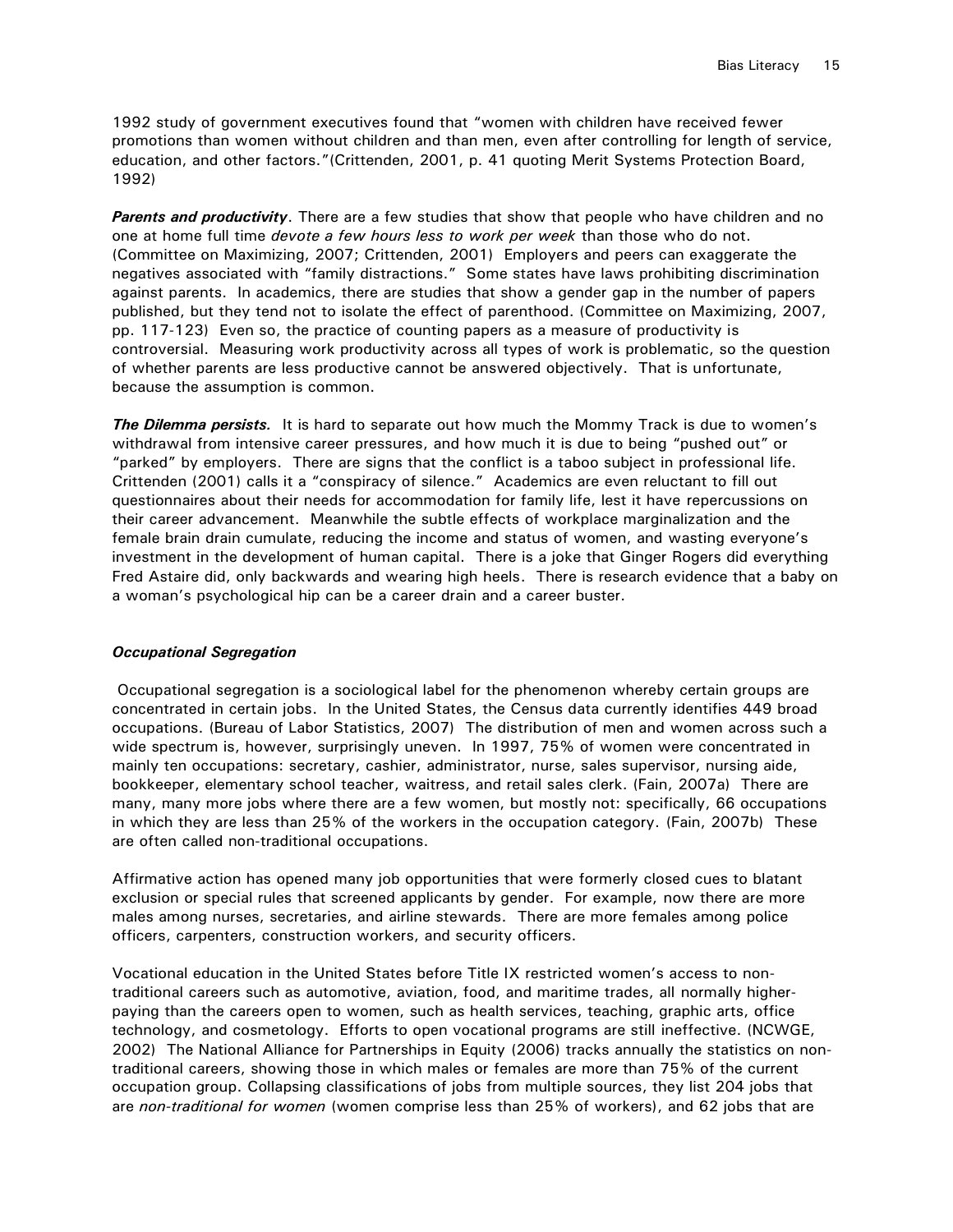1992 study of government executives found that "women with children have received fewer promotions than women without children and than men, even after controlling for length of service, education, and other factors."(Crittenden, 2001, p. 41 quoting Merit Systems Protection Board, 1992)

*Parents and productivity*. There are a few studies that show that people who have children and no one at home full time *devote a few hours less to work per week* than those who do not. (Committee on Maximizing, 2007; Crittenden, 2001) Employers and peers can exaggerate the negatives associated with "family distractions." Some states have laws prohibiting discrimination against parents. In academics, there are studies that show a gender gap in the number of papers published, but they tend not to isolate the effect of parenthood. (Committee on Maximizing, 2007, pp. 117-123) Even so, the practice of counting papers as a measure of productivity is controversial. Measuring work productivity across all types of work is problematic, so the question of whether parents are less productive cannot be answered objectively. That is unfortunate, because the assumption is common.

**The Dilemma persists.** It is hard to separate out how much the Mommy Track is due to women's withdrawal from intensive career pressures, and how much it is due to being "pushed out" or "parked" by employers. There are signs that the conflict is a taboo subject in professional life. Crittenden (2001) calls it a "conspiracy of silence." Academics are even reluctant to fill out questionnaires about their needs for accommodation for family life, lest it have repercussions on their career advancement. Meanwhile the subtle effects of workplace marginalization and the female brain drain cumulate, reducing the income and status of women, and wasting everyone's investment in the development of human capital. There is a joke that Ginger Rogers did everything Fred Astaire did, only backwards and wearing high heels. There is research evidence that a baby on a woman's psychological hip can be a career drain and a career buster.

## *Occupational Segregation*

Occupational segregation is a sociological label for the phenomenon whereby certain groups are concentrated in certain jobs. In the United States, the Census data currently identifies 449 broad occupations. (Bureau of Labor Statistics, 2007) The distribution of men and women across such a wide spectrum is, however, surprisingly uneven. In 1997, 75% of women were concentrated in mainly ten occupations: secretary, cashier, administrator, nurse, sales supervisor, nursing aide, bookkeeper, elementary school teacher, waitress, and retail sales clerk. (Fain, 2007a) There are many, many more jobs where there are a few women, but mostly not: specifically, 66 occupations in which they are less than 25% of the workers in the occupation category. (Fain, 2007b) These are often called non-traditional occupations.

Affirmative action has opened many job opportunities that were formerly closed cues to blatant exclusion or special rules that screened applicants by gender. For example, now there are more males among nurses, secretaries, and airline stewards. There are more females among police officers, carpenters, construction workers, and security officers.

Vocational education in the United States before Title IX restricted women's access to nontraditional careers such as automotive, aviation, food, and maritime trades, all normally higherpaying than the careers open to women, such as health services, teaching, graphic arts, office technology, and cosmetology. Efforts to open vocational programs are still ineffective. (NCWGE, 2002) The National Alliance for Partnerships in Equity (2006) tracks annually the statistics on nontraditional careers, showing those in which males or females are more than 75% of the current occupation group. Collapsing classifications of jobs from multiple sources, they list 204 jobs that are *non-traditional for women* (women comprise less than 25% of workers), and 62 jobs that are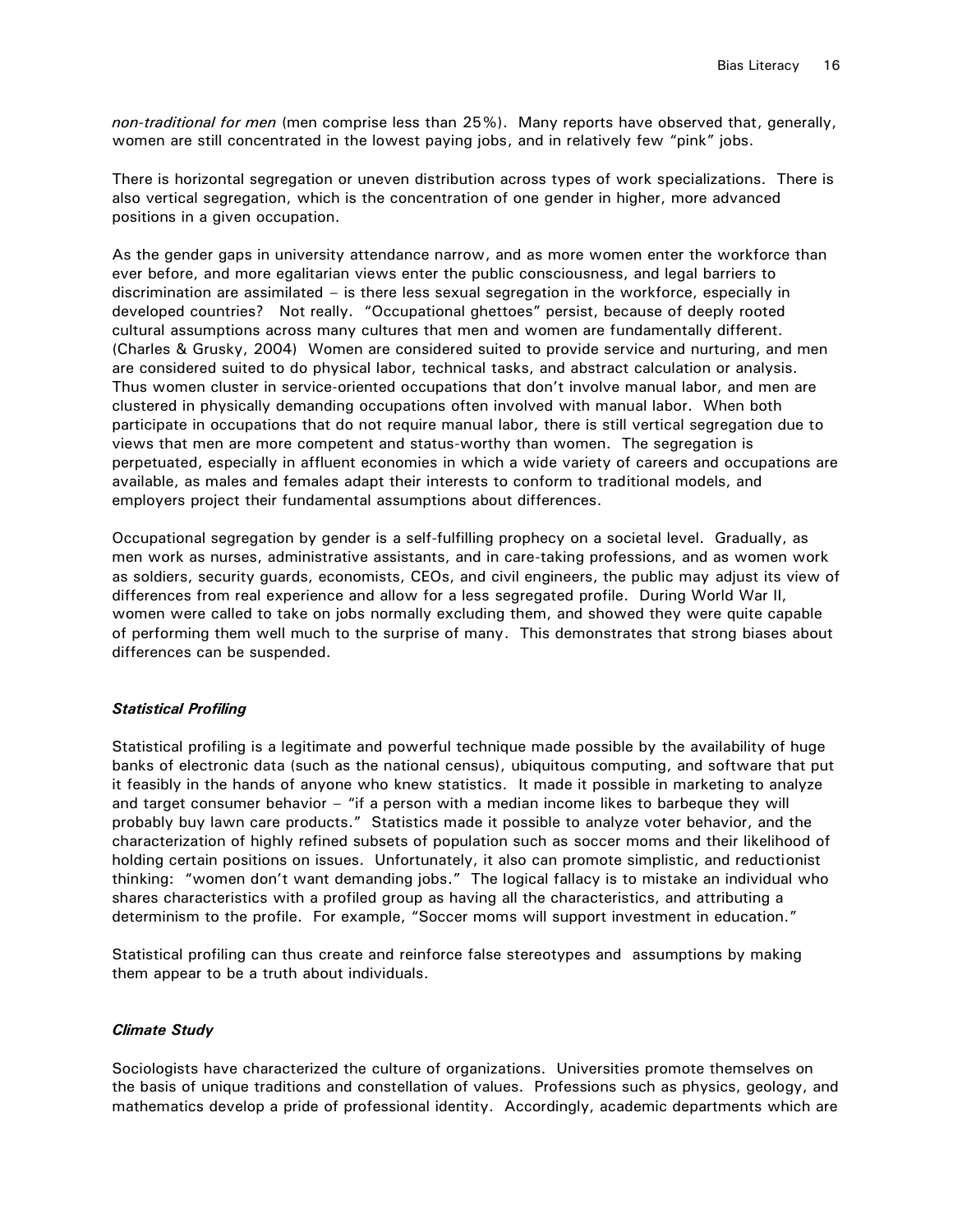*non-traditional for men* (men comprise less than 25%). Many reports have observed that, generally, women are still concentrated in the lowest paying jobs, and in relatively few "pink" jobs.

There is horizontal segregation or uneven distribution across types of work specializations. There is also vertical segregation, which is the concentration of one gender in higher, more advanced positions in a given occupation.

As the gender gaps in university attendance narrow, and as more women enter the workforce than ever before, and more egalitarian views enter the public consciousness, and legal barriers to discrimination are assimilated – is there less sexual segregation in the workforce, especially in developed countries? Not really. "Occupational ghettoes" persist, because of deeply rooted cultural assumptions across many cultures that men and women are fundamentally different. (Charles & Grusky, 2004) Women are considered suited to provide service and nurturing, and men are considered suited to do physical labor, technical tasks, and abstract calculation or analysis. Thus women cluster in service-oriented occupations that don't involve manual labor, and men are clustered in physically demanding occupations often involved with manual labor. When both participate in occupations that do not require manual labor, there is still vertical segregation due to views that men are more competent and status-worthy than women. The segregation is perpetuated, especially in affluent economies in which a wide variety of careers and occupations are available, as males and females adapt their interests to conform to traditional models, and employers project their fundamental assumptions about differences.

Occupational segregation by gender is a self-fulfilling prophecy on a societal level. Gradually, as men work as nurses, administrative assistants, and in care-taking professions, and as women work as soldiers, security guards, economists, CEOs, and civil engineers, the public may adjust its view of differences from real experience and allow for a less segregated profile. During World War II, women were called to take on jobs normally excluding them, and showed they were quite capable of performing them well much to the surprise of many. This demonstrates that strong biases about differences can be suspended.

## *Statistical Profiling*

Statistical profiling is a legitimate and powerful technique made possible by the availability of huge banks of electronic data (such as the national census), ubiquitous computing, and software that put it feasibly in the hands of anyone who knew statistics. It made it possible in marketing to analyze and target consumer behavior – "if a person with a median income likes to barbeque they will probably buy lawn care products." Statistics made it possible to analyze voter behavior, and the characterization of highly refined subsets of population such as soccer moms and their likelihood of holding certain positions on issues. Unfortunately, it also can promote simplistic, and reductionist thinking: "women don't want demanding jobs." The logical fallacy is to mistake an individual who shares characteristics with a profiled group as having all the characteristics, and attributing a determinism to the profile. For example, "Soccer moms will support investment in education."

Statistical profiling can thus create and reinforce false stereotypes and assumptions by making them appear to be a truth about individuals.

#### *Climate Study*

Sociologists have characterized the culture of organizations. Universities promote themselves on the basis of unique traditions and constellation of values. Professions such as physics, geology, and mathematics develop a pride of professional identity. Accordingly, academic departments which are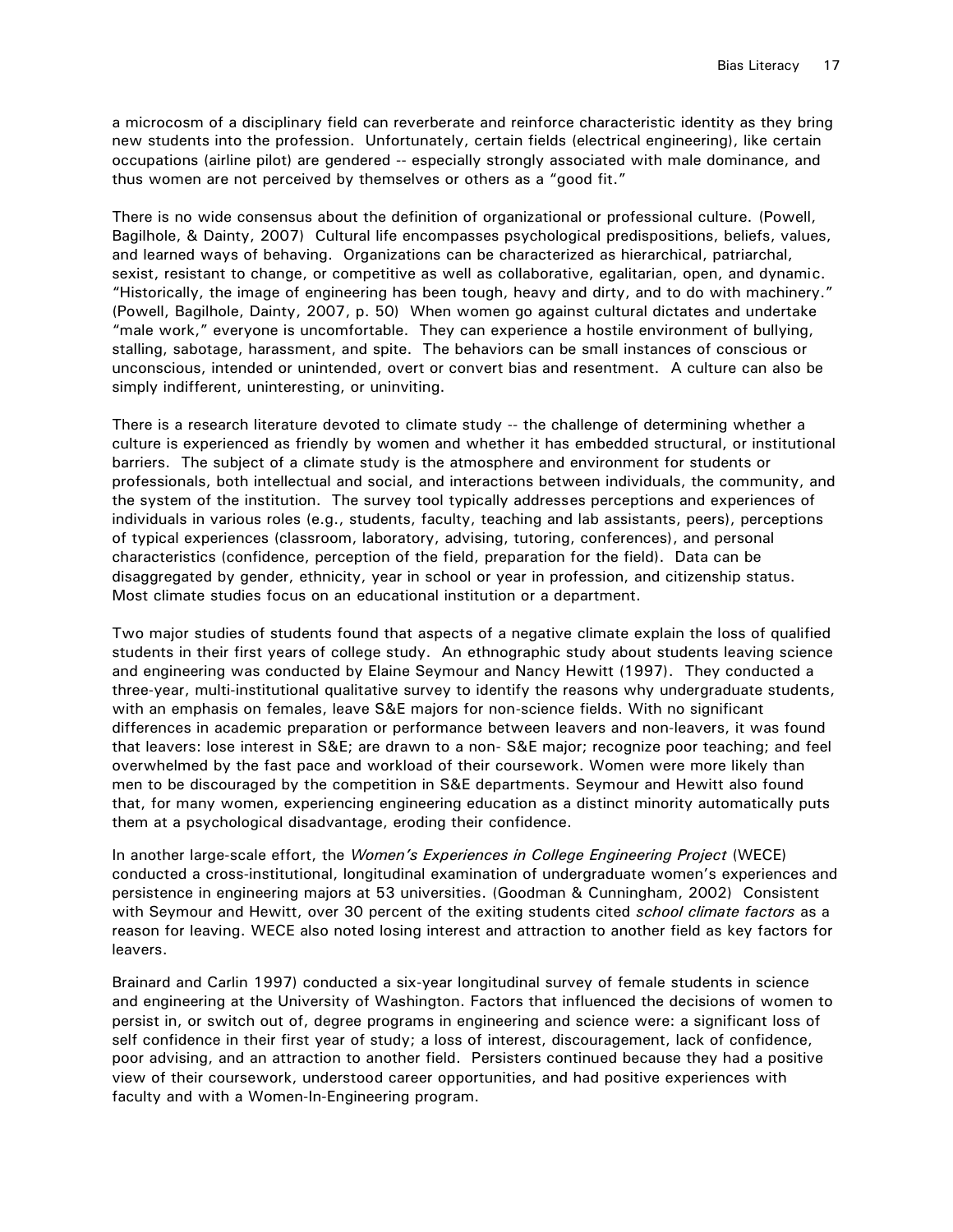a microcosm of a disciplinary field can reverberate and reinforce characteristic identity as they bring new students into the profession. Unfortunately, certain fields (electrical engineering), like certain occupations (airline pilot) are gendered -- especially strongly associated with male dominance, and thus women are not perceived by themselves or others as a "good fit."

There is no wide consensus about the definition of organizational or professional culture. (Powell, Bagilhole, & Dainty, 2007) Cultural life encompasses psychological predispositions, beliefs, values, and learned ways of behaving. Organizations can be characterized as hierarchical, patriarchal, sexist, resistant to change, or competitive as well as collaborative, egalitarian, open, and dynamic. "Historically, the image of engineering has been tough, heavy and dirty, and to do with machinery." (Powell, Bagilhole, Dainty, 2007, p. 50) When women go against cultural dictates and undertake "male work," everyone is uncomfortable. They can experience a hostile environment of bullying, stalling, sabotage, harassment, and spite. The behaviors can be small instances of conscious or unconscious, intended or unintended, overt or convert bias and resentment. A culture can also be simply indifferent, uninteresting, or uninviting.

There is a research literature devoted to climate study -- the challenge of determining whether a culture is experienced as friendly by women and whether it has embedded structural, or institutional barriers. The subject of a climate study is the atmosphere and environment for students or professionals, both intellectual and social, and interactions between individuals, the community, and the system of the institution. The survey tool typically addresses perceptions and experiences of individuals in various roles (e.g., students, faculty, teaching and lab assistants, peers), perceptions of typical experiences (classroom, laboratory, advising, tutoring, conferences), and personal characteristics (confidence, perception of the field, preparation for the field). Data can be disaggregated by gender, ethnicity, year in school or year in profession, and citizenship status. Most climate studies focus on an educational institution or a department.

Two major studies of students found that aspects of a negative climate explain the loss of qualified students in their first years of college study. An ethnographic study about students leaving science and engineering was conducted by Elaine Seymour and Nancy Hewitt (1997). They conducted a three-year, multi-institutional qualitative survey to identify the reasons why undergraduate students, with an emphasis on females, leave S&E majors for non-science fields. With no significant differences in academic preparation or performance between leavers and non-leavers, it was found that leavers: lose interest in S&E; are drawn to a non- S&E major; recognize poor teaching; and feel overwhelmed by the fast pace and workload of their coursework. Women were more likely than men to be discouraged by the competition in S&E departments. Seymour and Hewitt also found that, for many women, experiencing engineering education as a distinct minority automatically puts them at a psychological disadvantage, eroding their confidence.

In another large-scale effort, the *Women's Experiences in College Engineering Project* (WECE) conducted a cross-institutional, longitudinal examination of undergraduate women's experiences and persistence in engineering majors at 53 universities. (Goodman & Cunningham, 2002) Consistent with Seymour and Hewitt, over 30 percent of the exiting students cited *school climate factors* as a reason for leaving. WECE also noted losing interest and attraction to another field as key factors for leavers.

Brainard and Carlin 1997) conducted a six-year longitudinal survey of female students in science and engineering at the University of Washington. Factors that influenced the decisions of women to persist in, or switch out of, degree programs in engineering and science were: a significant loss of self confidence in their first year of study; a loss of interest, discouragement, lack of confidence, poor advising, and an attraction to another field. Persisters continued because they had a positive view of their coursework, understood career opportunities, and had positive experiences with faculty and with a Women-In-Engineering program.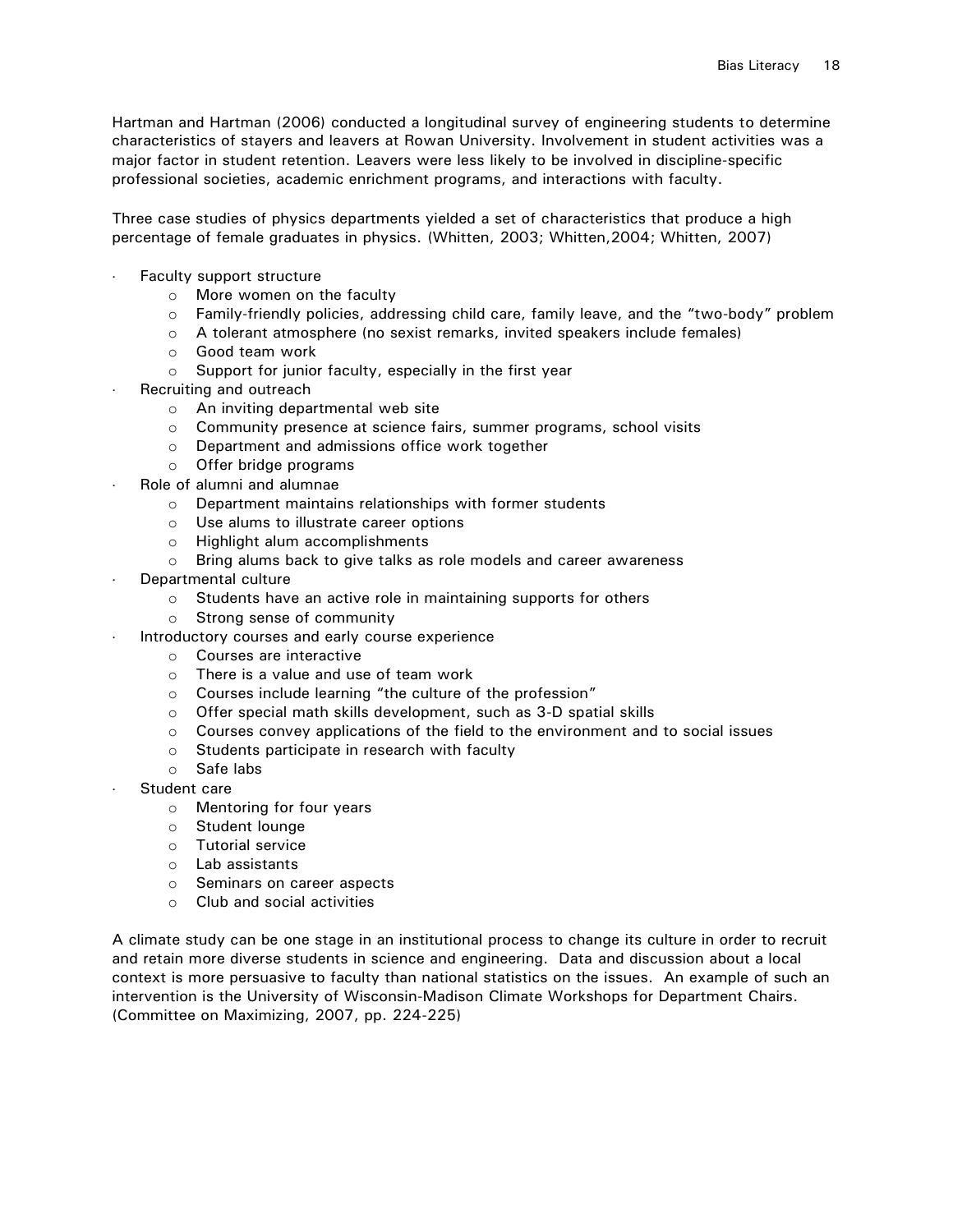Hartman and Hartman (2006) conducted a longitudinal survey of engineering students to determine characteristics of stayers and leavers at Rowan University. Involvement in student activities was a major factor in student retention. Leavers were less likely to be involved in discipline-specific professional societies, academic enrichment programs, and interactions with faculty.

Three case studies of physics departments yielded a set of characteristics that produce a high percentage of female graduates in physics. (Whitten, 2003; Whitten,2004; Whitten, 2007)

- Faculty support structure
	- o More women on the faculty
	- $\circ$  Family-friendly policies, addressing child care, family leave, and the "two-body" problem
	- o A tolerant atmosphere (no sexist remarks, invited speakers include females)
	- o Good team work
	- o Support for junior faculty, especially in the first year
- Recruiting and outreach
	- o An inviting departmental web site
	- o Community presence at science fairs, summer programs, school visits
	- o Department and admissions office work together
	- o Offer bridge programs
- Role of alumni and alumnae
	- o Department maintains relationships with former students
	- o Use alums to illustrate career options
	- o Highlight alum accomplishments
	- o Bring alums back to give talks as role models and career awareness
- Departmental culture
	- o Students have an active role in maintaining supports for others
	- o Strong sense of community
	- Introductory courses and early course experience
		- o Courses are interactive
		- o There is a value and use of team work
		- o Courses include learning "the culture of the profession"
		- o Offer special math skills development, such as 3-D spatial skills
		- $\circ$  Courses convey applications of the field to the environment and to social issues
		- o Students participate in research with faculty
		- o Safe labs
- Student care
	- o Mentoring for four years
	- o Student lounge
	- o Tutorial service
	- o Lab assistants
	- o Seminars on career aspects
	- o Club and social activities

A climate study can be one stage in an institutional process to change its culture in order to recruit and retain more diverse students in science and engineering. Data and discussion about a local context is more persuasive to faculty than national statistics on the issues. An example of such an intervention is the University of Wisconsin-Madison Climate Workshops for Department Chairs. (Committee on Maximizing, 2007, pp. 224-225)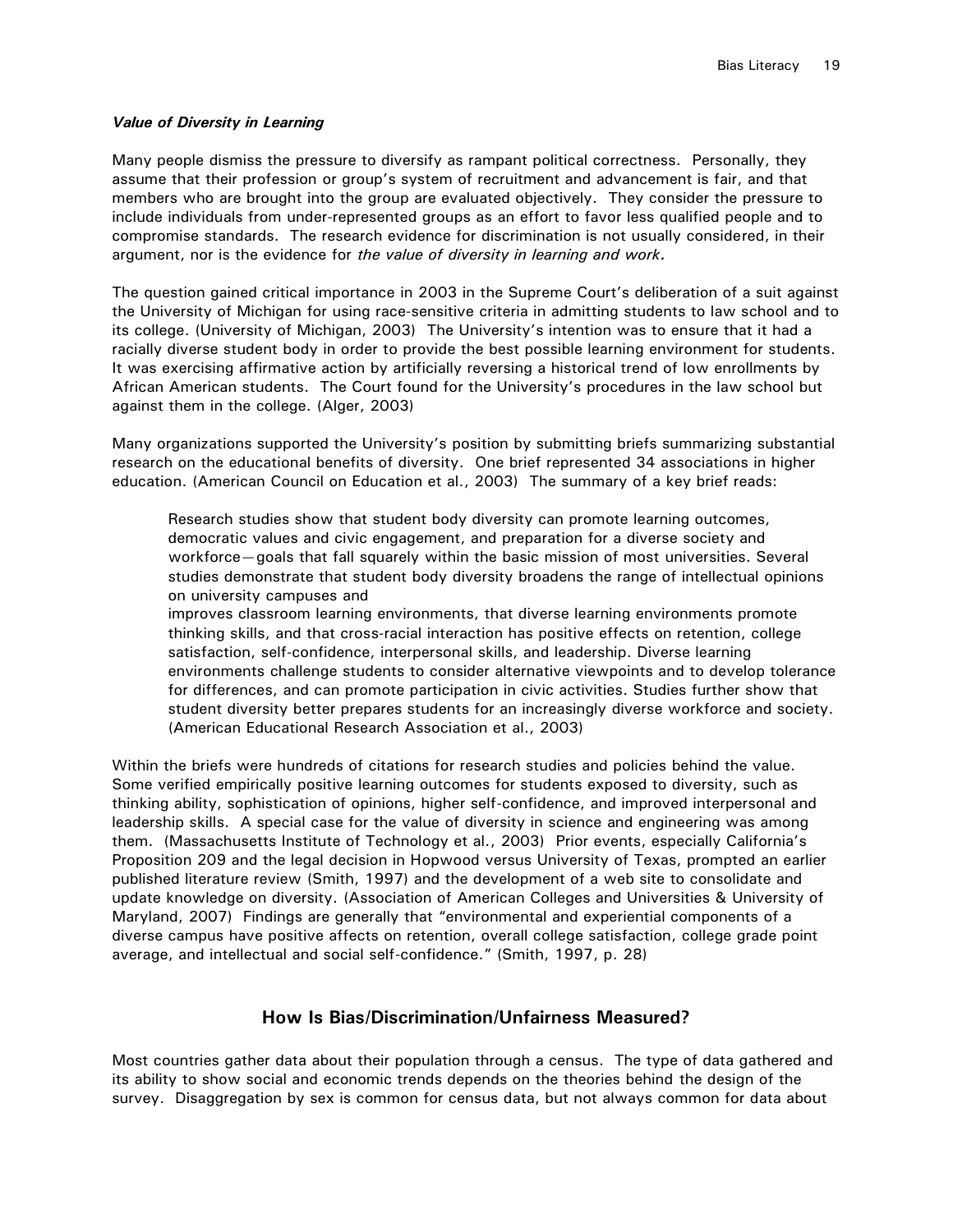#### *Value of Diversity in Learning*

Many people dismiss the pressure to diversify as rampant political correctness. Personally, they assume that their profession or group's system of recruitment and advancement is fair, and that members who are brought into the group are evaluated objectively. They consider the pressure to include individuals from under-represented groups as an effort to favor less qualified people and to compromise standards. The research evidence for discrimination is not usually considered, in their argument, nor is the evidence for *the value of diversity in learning and work.*

The question gained critical importance in 2003 in the Supreme Court's deliberation of a suit against the University of Michigan for using race-sensitive criteria in admitting students to law school and to its college. (University of Michigan, 2003) The University's intention was to ensure that it had a racially diverse student body in order to provide the best possible learning environment for students. It was exercising affirmative action by artificially reversing a historical trend of low enrollments by African American students. The Court found for the University's procedures in the law school but against them in the college. (Alger, 2003)

Many organizations supported the University's position by submitting briefs summarizing substantial research on the educational benefits of diversity. One brief represented 34 associations in higher education. (American Council on Education et al., 2003) The summary of a key brief reads:

Research studies show that student body diversity can promote learning outcomes, democratic values and civic engagement, and preparation for a diverse society and workforce—goals that fall squarely within the basic mission of most universities. Several studies demonstrate that student body diversity broadens the range of intellectual opinions on university campuses and

improves classroom learning environments, that diverse learning environments promote thinking skills, and that cross-racial interaction has positive effects on retention, college satisfaction, self-confidence, interpersonal skills, and leadership. Diverse learning environments challenge students to consider alternative viewpoints and to develop tolerance for differences, and can promote participation in civic activities. Studies further show that student diversity better prepares students for an increasingly diverse workforce and society. (American Educational Research Association et al., 2003)

Within the briefs were hundreds of citations for research studies and policies behind the value. Some verified empirically positive learning outcomes for students exposed to diversity, such as thinking ability, sophistication of opinions, higher self-confidence, and improved interpersonal and leadership skills. A special case for the value of diversity in science and engineering was among them. (Massachusetts Institute of Technology et al., 2003) Prior events, especially California's Proposition 209 and the legal decision in Hopwood versus University of Texas, prompted an earlier published literature review (Smith, 1997) and the development of a web site to consolidate and update knowledge on diversity. (Association of American Colleges and Universities & University of Maryland, 2007) Findings are generally that "environmental and experiential components of a diverse campus have positive affects on retention, overall college satisfaction, college grade point average, and intellectual and social self-confidence." (Smith, 1997, p. 28)

## **How Is Bias/Discrimination/Unfairness Measured?**

Most countries gather data about their population through a census. The type of data gathered and its ability to show social and economic trends depends on the theories behind the design of the survey. Disaggregation by sex is common for census data, but not always common for data about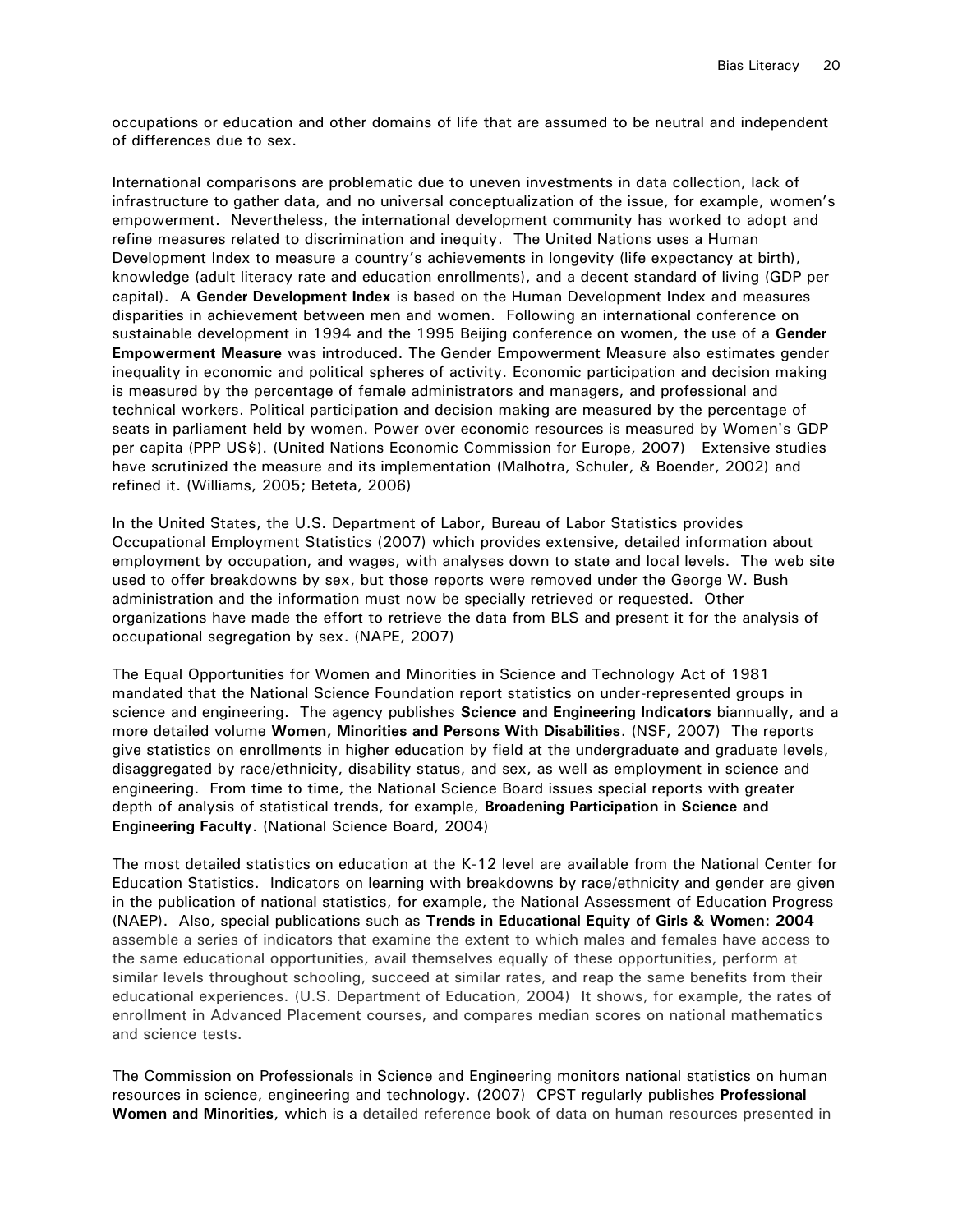occupations or education and other domains of life that are assumed to be neutral and independent of differences due to sex.

International comparisons are problematic due to uneven investments in data collection, lack of infrastructure to gather data, and no universal conceptualization of the issue, for example, women's empowerment. Nevertheless, the international development community has worked to adopt and refine measures related to discrimination and inequity. The United Nations uses a Human Development Index to measure a country's achievements in longevity (life expectancy at birth), knowledge (adult literacy rate and education enrollments), and a decent standard of living (GDP per capital). A **Gender Development Index** is based on the Human Development Index and measures disparities in achievement between men and women. Following an international conference on sustainable development in 1994 and the 1995 Beijing conference on women, the use of a **Gender Empowerment Measure** was introduced. The Gender Empowerment Measure also estimates gender inequality in economic and political spheres of activity. Economic participation and decision making is measured by the percentage of female administrators and managers, and professional and technical workers. Political participation and decision making are measured by the percentage of seats in parliament held by women. Power over economic resources is measured by Women's GDP per capita (PPP US\$). (United Nations Economic Commission for Europe, 2007) Extensive studies have scrutinized the measure and its implementation (Malhotra, Schuler, & Boender, 2002) and refined it. (Williams, 2005; Beteta, 2006)

In the United States, the U.S. Department of Labor, Bureau of Labor Statistics provides Occupational Employment Statistics (2007) which provides extensive, detailed information about employment by occupation, and wages, with analyses down to state and local levels. The web site used to offer breakdowns by sex, but those reports were removed under the George W. Bush administration and the information must now be specially retrieved or requested. Other organizations have made the effort to retrieve the data from BLS and present it for the analysis of occupational segregation by sex. (NAPE, 2007)

The Equal Opportunities for Women and Minorities in Science and Technology Act of 1981 mandated that the National Science Foundation report statistics on under-represented groups in science and engineering. The agency publishes **Science and Engineering Indicators** biannually, and a more detailed volume **Women, Minorities and Persons With Disabilities**. (NSF, 2007) The reports give statistics on enrollments in higher education by field at the undergraduate and graduate levels, disaggregated by race/ethnicity, disability status, and sex, as well as employment in science and engineering. From time to time, the National Science Board issues special reports with greater depth of analysis of statistical trends, for example, **Broadening Participation in Science and Engineering Faculty**. (National Science Board, 2004)

The most detailed statistics on education at the K-12 level are available from the National Center for Education Statistics. Indicators on learning with breakdowns by race/ethnicity and gender are given in the publication of national statistics, for example, the National Assessment of Education Progress (NAEP). Also, special publications such as **[Trends in Educational Equity of Girls & Women: 2004](http://nces.ed.gov/pubsearch/pubsinfo.asp?pubid=2005016)** assemble a series of indicators that examine the extent to which males and females have access to the same educational opportunities, avail themselves equally of these opportunities, perform at similar levels throughout schooling, succeed at similar rates, and reap the same benefits from their educational experiences. (U.S. Department of Education, 2004) It shows, for example, the rates of enrollment in Advanced Placement courses, and compares median scores on national mathematics and science tests.

The Commission on Professionals in Science and Engineering monitors national statistics on human resources in science, engineering and technology. (2007) CPST regularly publishes **Professional Women and Minorities**, which is a detailed reference book of data on human resources presented in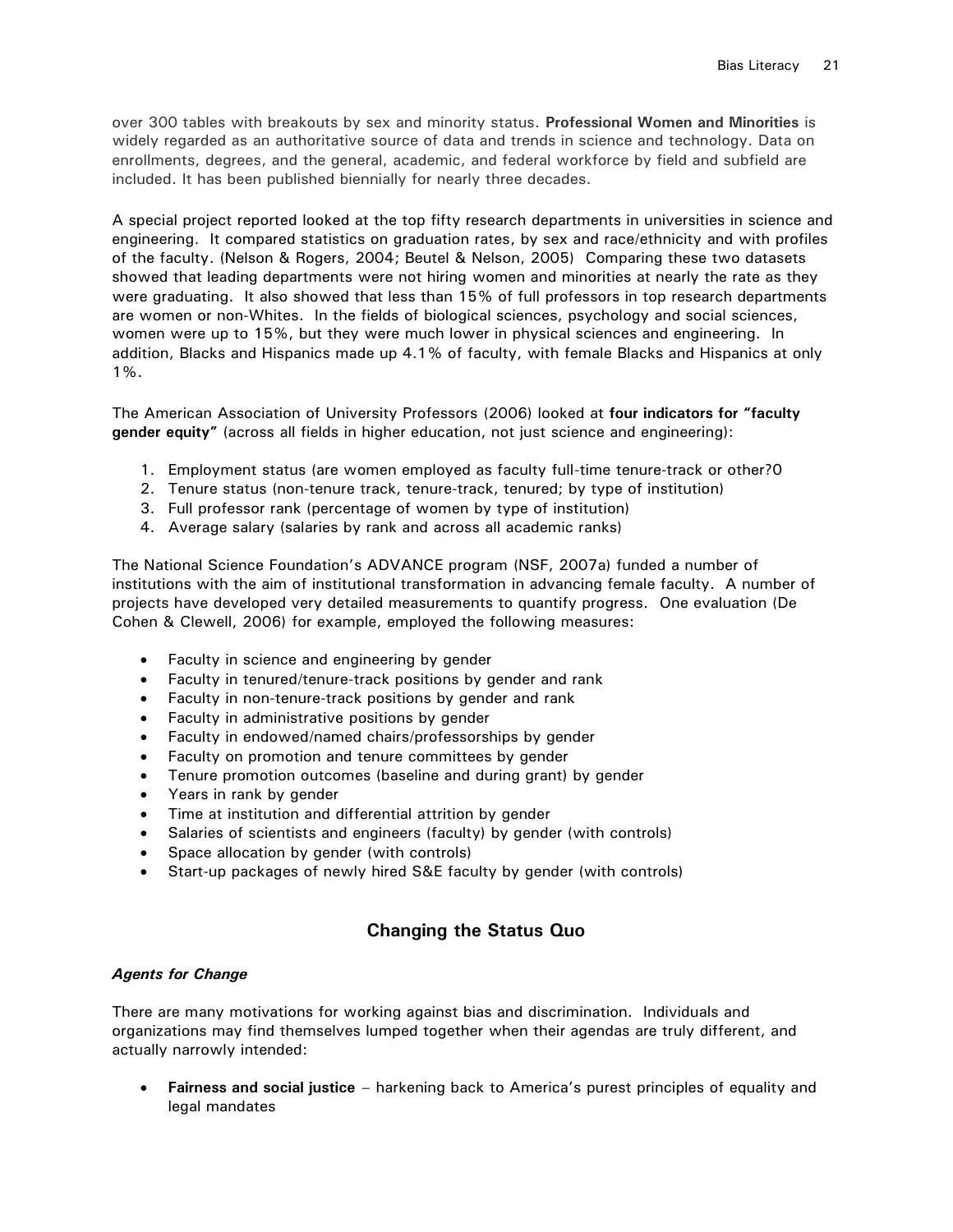over 300 tables with breakouts by sex and minority status. **Professional Women and Minorities** is widely regarded as an authoritative source of data and trends in science and technology. Data on enrollments, degrees, and the general, academic, and federal workforce by field and subfield are included. It has been published biennially for nearly three decades.

A special project reported looked at the top fifty research departments in universities in science and engineering. It compared statistics on graduation rates, by sex and race/ethnicity and with profiles of the faculty. (Nelson & Rogers, 2004; Beutel & Nelson, 2005) Comparing these two datasets showed that leading departments were not hiring women and minorities at nearly the rate as they were graduating. It also showed that less than 15% of full professors in top research departments are women or non-Whites. In the fields of biological sciences, psychology and social sciences, women were up to 15%, but they were much lower in physical sciences and engineering. In addition, Blacks and Hispanics made up 4.1% of faculty, with female Blacks and Hispanics at only 1%.

The American Association of University Professors (2006) looked at **four indicators for "faculty gender equity"** (across all fields in higher education, not just science and engineering):

- 1. Employment status (are women employed as faculty full-time tenure-track or other?0
- 2. Tenure status (non-tenure track, tenure-track, tenured; by type of institution)
- 3. Full professor rank (percentage of women by type of institution)
- 4. Average salary (salaries by rank and across all academic ranks)

The National Science Foundation's ADVANCE program (NSF, 2007a) funded a number of institutions with the aim of institutional transformation in advancing female faculty. A number of projects have developed very detailed measurements to quantify progress. One evaluation (De Cohen & Clewell, 2006) for example, employed the following measures:

- Faculty in science and engineering by gender
- Faculty in tenured/tenure-track positions by gender and rank
- Faculty in non-tenure-track positions by gender and rank
- Faculty in administrative positions by gender
- Faculty in endowed/named chairs/professorships by gender
- Faculty on promotion and tenure committees by gender
- Tenure promotion outcomes (baseline and during grant) by gender
- Years in rank by gender
- Time at institution and differential attrition by gender
- Salaries of scientists and engineers (faculty) by gender (with controls)
- Space allocation by gender (with controls)
- Start-up packages of newly hired S&E faculty by gender (with controls)

## **Changing the Status Quo**

## *Agents for Change*

There are many motivations for working against bias and discrimination. Individuals and organizations may find themselves lumped together when their agendas are truly different, and actually narrowly intended:

**Fairness and social justice** – harkening back to America's purest principles of equality and legal mandates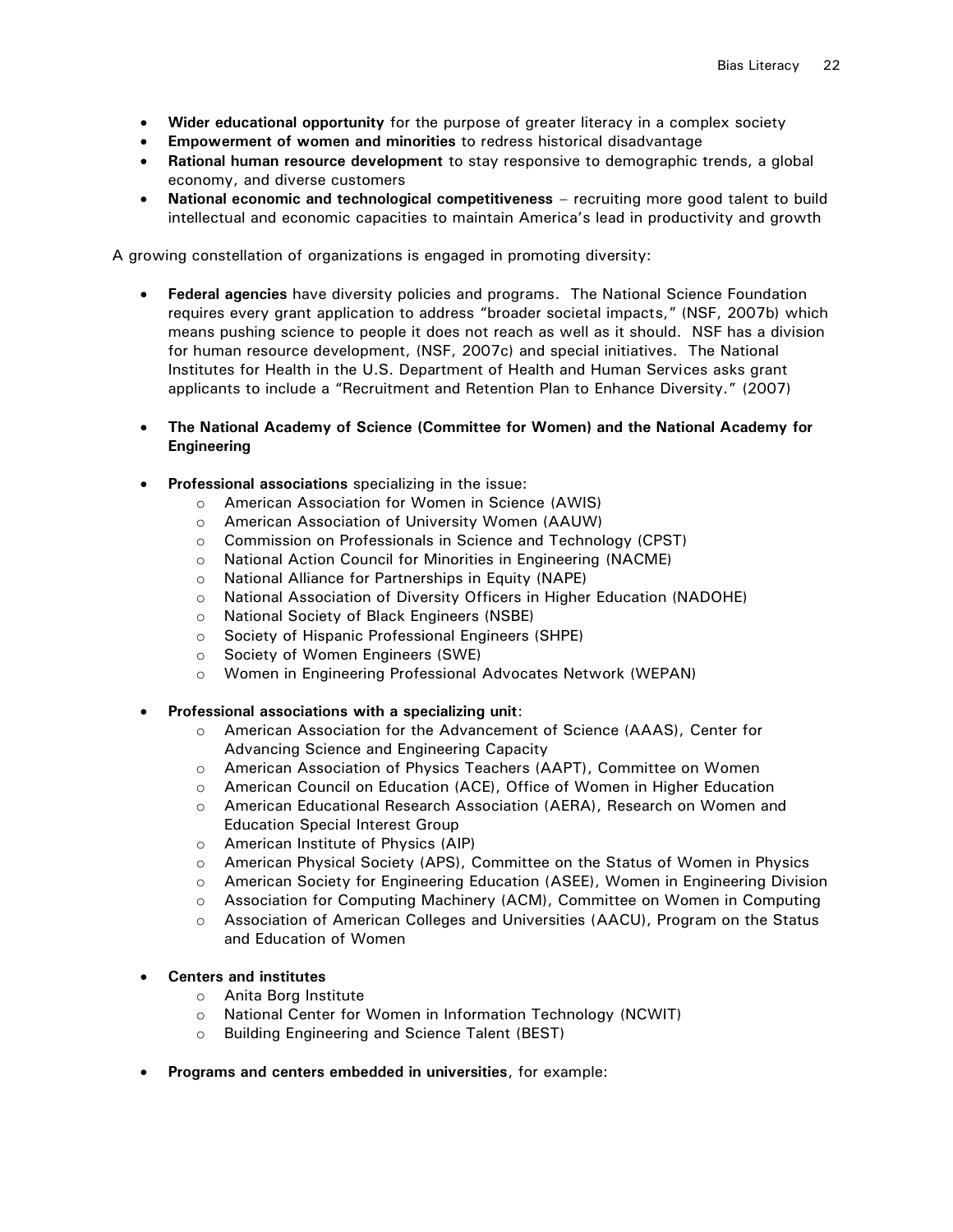- **Wider educational opportunity** for the purpose of greater literacy in a complex society
- **Empowerment of women and minorities** to redress historical disadvantage
- **Rational human resource development** to stay responsive to demographic trends, a global economy, and diverse customers
- **National economic and technological competitiveness** recruiting more good talent to build intellectual and economic capacities to maintain America's lead in productivity and growth

A growing constellation of organizations is engaged in promoting diversity:

- **Federal agencies** have diversity policies and programs. The National Science Foundation requires every grant application to address "broader societal impacts," (NSF, 2007b) which means pushing science to people it does not reach as well as it should. NSF has a division for human resource development, (NSF, 2007c) and special initiatives. The National Institutes for Health in the U.S. Department of Health and Human Services asks grant applicants to include a "Recruitment and Retention Plan to Enhance Diversity." (2007)
- **The National Academy of Science (Committee for Women) and the National Academy for Engineering**
- **Professional associations** specializing in the issue:
	- o American Association for Women in Science (AWIS)
	- o American Association of University Women (AAUW)
	- o Commission on Professionals in Science and Technology (CPST)
	- o National Action Council for Minorities in Engineering (NACME)
	- o National Alliance for Partnerships in Equity (NAPE)
	- o National Association of Diversity Officers in Higher Education (NADOHE)
	- o National Society of Black Engineers (NSBE)
	- o Society of Hispanic Professional Engineers (SHPE)
	- o Society of Women Engineers (SWE)
	- o Women in Engineering Professional Advocates Network (WEPAN)
- **Professional associations with a specializing unit**:
	- o American Association for the Advancement of Science (AAAS), Center for Advancing Science and Engineering Capacity
	- o American Association of Physics Teachers (AAPT), Committee on Women
	- o American Council on Education (ACE), Office of Women in Higher Education
	- o American Educational Research Association (AERA), Research on Women and Education Special Interest Group
	- o American Institute of Physics (AIP)
	- o American Physical Society (APS), Committee on the Status of Women in Physics
	- o American Society for Engineering Education (ASEE), Women in Engineering Division
	- o Association for Computing Machinery (ACM), Committee on Women in Computing
	- o Association of American Colleges and Universities (AACU), Program on the Status and Education of Women
- **Centers and institutes**
	- o Anita Borg Institute
	- o National Center for Women in Information Technology (NCWIT)
	- o Building Engineering and Science Talent (BEST)
- **Programs and centers embedded in universities**, for example: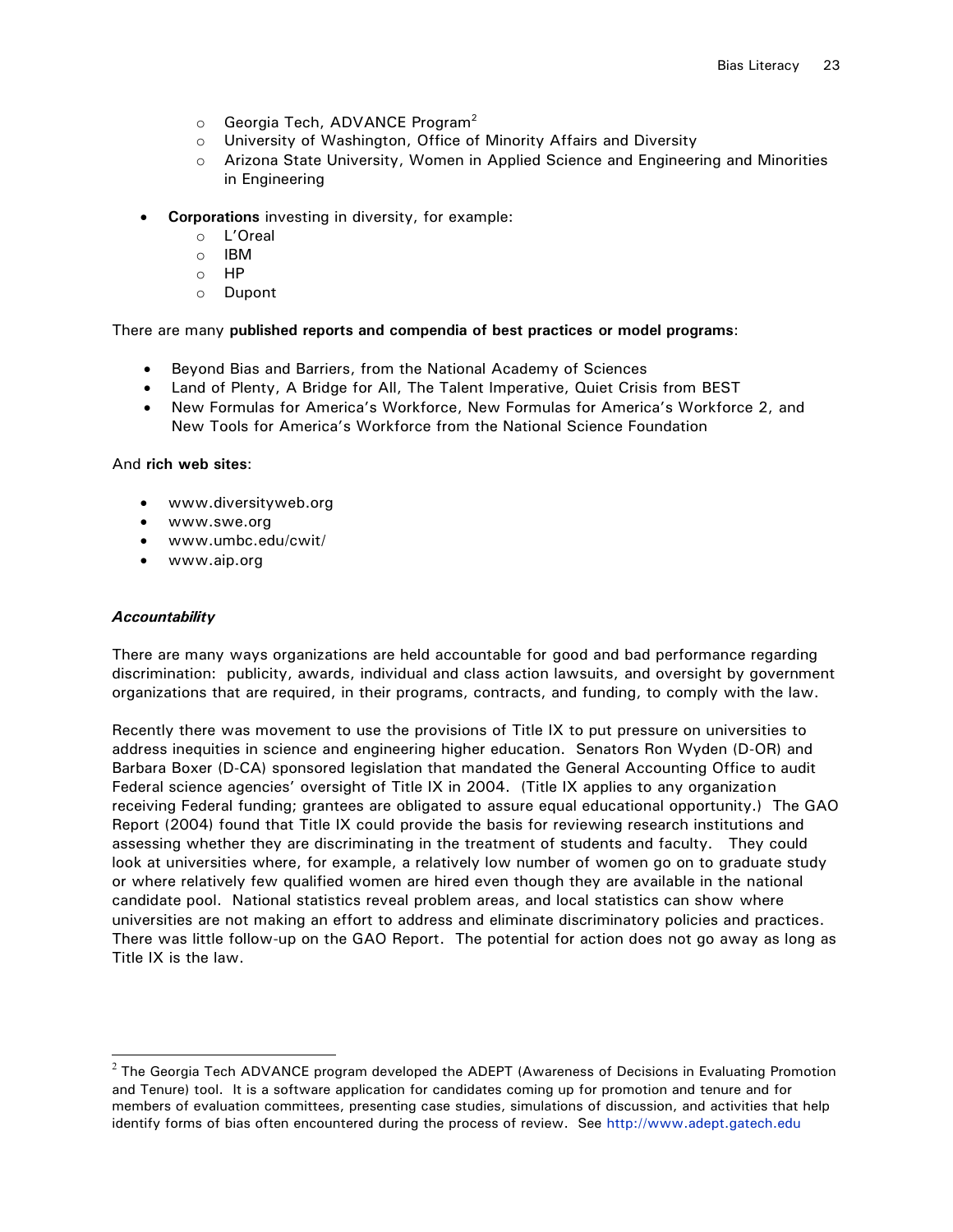- $\circ$  Georgia Tech, ADVANCE Program<sup>2</sup>
- o University of Washington, Office of Minority Affairs and Diversity
- o Arizona State University, Women in Applied Science and Engineering and Minorities in Engineering
- **Corporations** investing in diversity, for example:
	- o L'Oreal
	- o IBM
	- o HP
	- o Dupont

## There are many **published reports and compendia of best practices or model programs**:

- Beyond Bias and Barriers, from the National Academy of Sciences
- Land of Plenty, A Bridge for All, The Talent Imperative, Quiet Crisis from BEST
- New Formulas for America's Workforce, New Formulas for America's Workforce 2, and New Tools for America's Workforce from the National Science Foundation

## And **rich web sites**:

- [www.diversityweb.org](http://www.diversityweb.org/)
- www.swe.org
- [www.umbc.edu/cwit/](http://www.umbc.edu/cwit/)
- www.aip.org

## *Accountability*

l

There are many ways organizations are held accountable for good and bad performance regarding discrimination: publicity, awards, individual and class action lawsuits, and oversight by government organizations that are required, in their programs, contracts, and funding, to comply with the law.

Recently there was movement to use the provisions of Title IX to put pressure on universities to address inequities in science and engineering higher education. Senators Ron Wyden (D-OR) and Barbara Boxer (D-CA) sponsored legislation that mandated the General Accounting Office to audit Federal science agencies' oversight of Title IX in 2004. (Title IX applies to any organization receiving Federal funding; grantees are obligated to assure equal educational opportunity.) The GAO Report (2004) found that Title IX could provide the basis for reviewing research institutions and assessing whether they are discriminating in the treatment of students and faculty. They could look at universities where, for example, a relatively low number of women go on to graduate study or where relatively few qualified women are hired even though they are available in the national candidate pool. National statistics reveal problem areas, and local statistics can show where universities are not making an effort to address and eliminate discriminatory policies and practices. There was little follow-up on the GAO Report. The potential for action does not go away as long as Title IX is the law.

 $^2$  The Georgia Tech ADVANCE program developed the ADEPT (Awareness of Decisions in Evaluating Promotion  $^2$ and Tenure) tool. It is a software application for candidates coming up for promotion and tenure and for members of evaluation committees, presenting case studies, simulations of discussion, and activities that help identify forms of bias often encountered during the process of review. See [http://www.adept.gatech.edu](http://www.adept.gatech.edu/)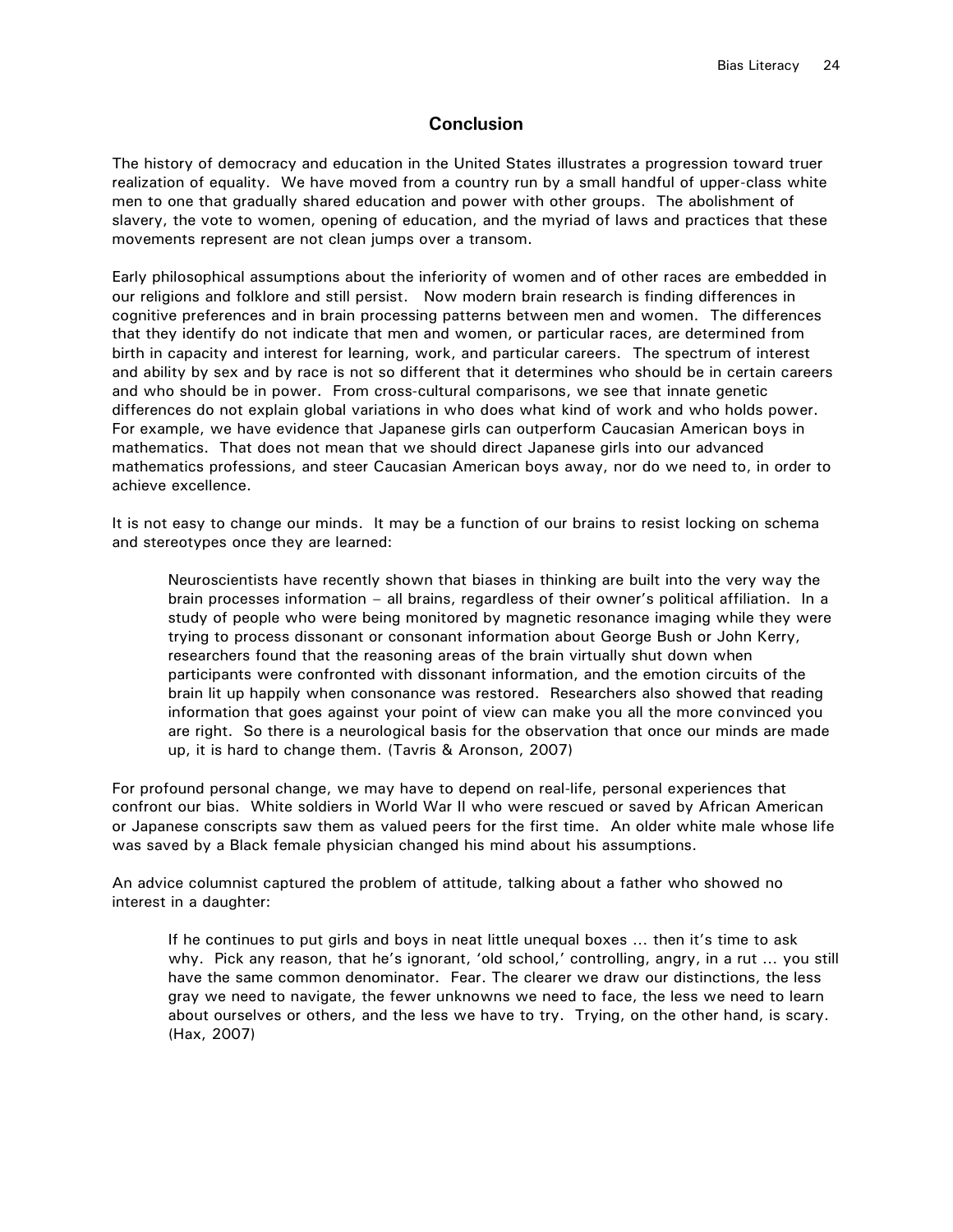## **Conclusion**

The history of democracy and education in the United States illustrates a progression toward truer realization of equality. We have moved from a country run by a small handful of upper-class white men to one that gradually shared education and power with other groups. The abolishment of slavery, the vote to women, opening of education, and the myriad of laws and practices that these movements represent are not clean jumps over a transom.

Early philosophical assumptions about the inferiority of women and of other races are embedded in our religions and folklore and still persist. Now modern brain research is finding differences in cognitive preferences and in brain processing patterns between men and women. The differences that they identify do not indicate that men and women, or particular races, are determined from birth in capacity and interest for learning, work, and particular careers. The spectrum of interest and ability by sex and by race is not so different that it determines who should be in certain careers and who should be in power. From cross-cultural comparisons, we see that innate genetic differences do not explain global variations in who does what kind of work and who holds power. For example, we have evidence that Japanese girls can outperform Caucasian American boys in mathematics. That does not mean that we should direct Japanese girls into our advanced mathematics professions, and steer Caucasian American boys away, nor do we need to, in order to achieve excellence.

It is not easy to change our minds. It may be a function of our brains to resist locking on schema and stereotypes once they are learned:

Neuroscientists have recently shown that biases in thinking are built into the very way the brain processes information - all brains, regardless of their owner's political affiliation. In a study of people who were being monitored by magnetic resonance imaging while they were trying to process dissonant or consonant information about George Bush or John Kerry, researchers found that the reasoning areas of the brain virtually shut down when participants were confronted with dissonant information, and the emotion circuits of the brain lit up happily when consonance was restored. Researchers also showed that reading information that goes against your point of view can make you all the more convinced you are right. So there is a neurological basis for the observation that once our minds are made up, it is hard to change them. (Tavris & Aronson, 2007)

For profound personal change, we may have to depend on real-life, personal experiences that confront our bias. White soldiers in World War II who were rescued or saved by African American or Japanese conscripts saw them as valued peers for the first time. An older white male whose life was saved by a Black female physician changed his mind about his assumptions.

An advice columnist captured the problem of attitude, talking about a father who showed no interest in a daughter:

If he continues to put girls and boys in neat little unequal boxes ... then it's time to ask why. Pick any reason, that he's ignorant, 'old school,' controlling, angry, in a rut ... you still have the same common denominator. Fear. The clearer we draw our distinctions, the less gray we need to navigate, the fewer unknowns we need to face, the less we need to learn about ourselves or others, and the less we have to try. Trying, on the other hand, is scary. (Hax, 2007)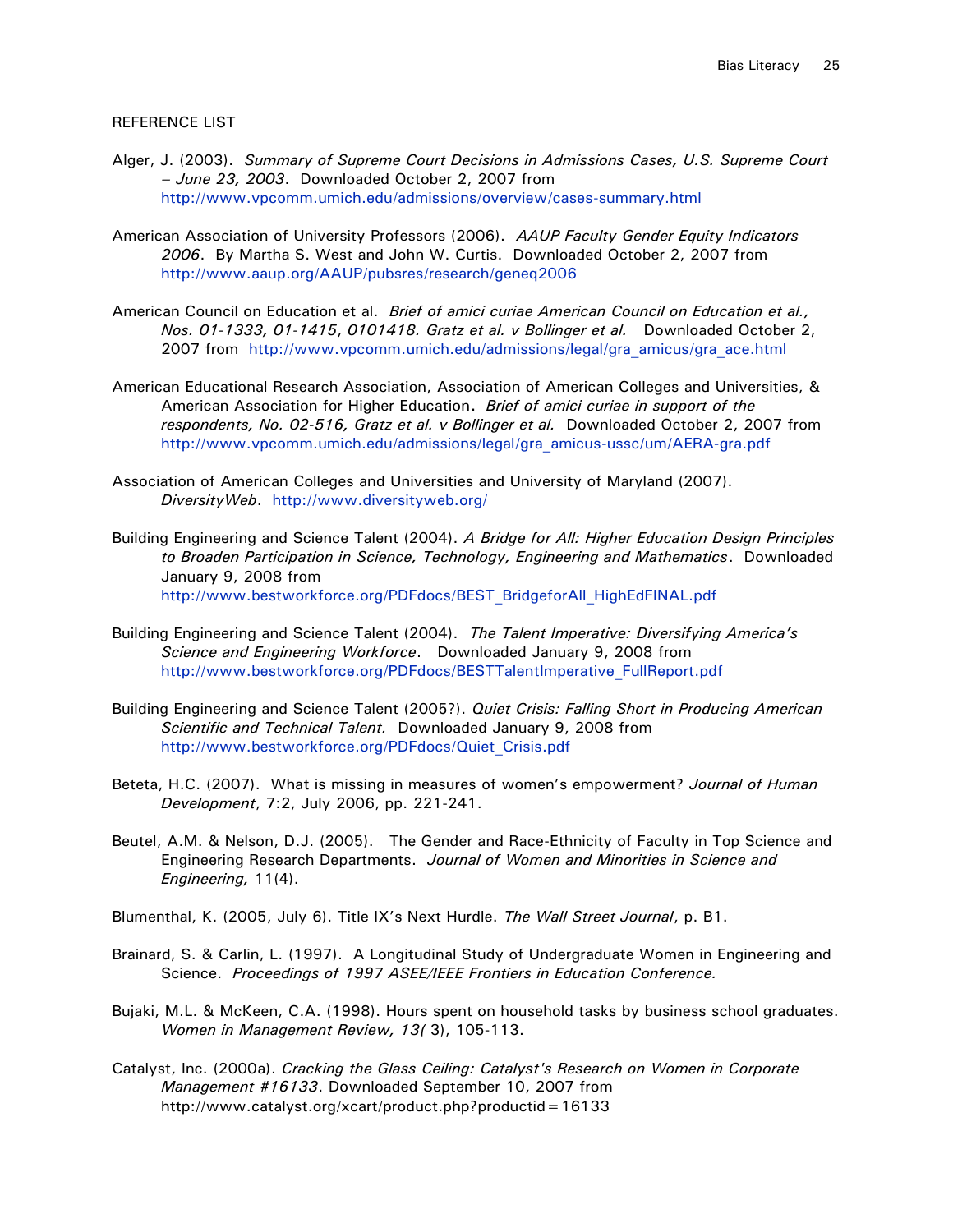#### REFERENCE LIST

- Alger, J. (2003). *Summary of Supreme Court Decisions in Admissions Cases, U.S. Supreme Court – June 23, 2003*. Downloaded October 2, 2007 from <http://www.vpcomm.umich.edu/admissions/overview/cases-summary.html>
- American Association of University Professors (2006). *AAUP Faculty Gender Equity Indicators 2006*. By Martha S. West and John W. Curtis. Downloaded October 2, 2007 from <http://www.aaup.org/AAUP/pubsres/research/geneq2006>
- American Council on Education et al. *Brief of amici curiae American Council on Education et al., Nos. 01-1333, 01-1415*, *0101418. Gratz et al. v Bollinger et al.* Downloaded October 2, 2007 from [http://www.vpcomm.umich.edu/admissions/legal/gra\\_amicus/gra\\_ace.html](http://www.vpcomm.umich.edu/admissions/legal/gra_amicus/gra_ace.html)
- American Educational Research Association, Association of American Colleges and Universities, & American Association for Higher Education**.** *Brief of amici curiae in support of the respondents, No. 02-516, Gratz et al. v Bollinger et al.* Downloaded October 2, 2007 from [http://www.vpcomm.umich.edu/admissions/legal/gra\\_amicus-ussc/um/AERA-gra.pdf](http://www.vpcomm.umich.edu/admissions/legal/gra_amicus-ussc/um/AERA-gra.pdf)
- Association of American Colleges and Universities and University of Maryland (2007). *DiversityWeb*. <http://www.diversityweb.org/>
- Building Engineering and Science Talent (2004). *A Bridge for All: Higher Education Design Principles to Broaden Participation in Science, Technology, Engineering and Mathematics*. Downloaded January 9, 2008 from [http://www.bestworkforce.org/PDFdocs/BEST\\_BridgeforAll\\_HighEdFINAL.pdf](http://www.bestworkforce.org/PDFdocs/BEST_BridgeforAll_HighEdFINAL.pdf)
- Building Engineering and Science Talent (2004). *The Talent Imperative: Diversifying America's Science and Engineering Workforce*. Downloaded January 9, 2008 from [http://www.bestworkforce.org/PDFdocs/BESTTalentImperative\\_FullReport.pdf](http://www.bestworkforce.org/PDFdocs/BESTTalentImperative_FullReport.pdf)
- Building Engineering and Science Talent (2005?). *Quiet Crisis: Falling Short in Producing American Scientific and Technical Talent.* Downloaded January 9, 2008 from [http://www.bestworkforce.org/PDFdocs/Quiet\\_Crisis.pdf](http://www.bestworkforce.org/PDFdocs/Quiet_Crisis.pdf)
- Beteta, H.C. (2007). What is missing in measures of women's empowerment? *Journal of Human Development*, 7:2, July 2006, pp. 221-241.
- Beutel, A.M. & Nelson, D.J. (2005). The Gender and Race-Ethnicity of Faculty in Top Science and Engineering Research Departments. *Journal of Women and Minorities in Science and Engineering,* 11(4).
- Blumenthal, K. (2005, July 6). Title IX's Next Hurdle. *The Wall Street Journal*, p. B1.
- Brainard, S. & Carlin, L. (1997). A Longitudinal Study of Undergraduate Women in Engineering and Science. *Proceedings of 1997 ASEE/IEEE Frontiers in Education Conference.*
- Bujaki, M.L. & McKeen, C.A. (1998). Hours spent on household tasks by business school graduates. *Women in Management Review, 13(* 3), 105-113.
- Catalyst, Inc. (2000a). *Cracking the Glass Ceiling: Catalyst's Research on Women in Corporate Management #16133*. Downloaded September 10, 2007 from http://www.catalyst.org/xcart/product.php?productid=16133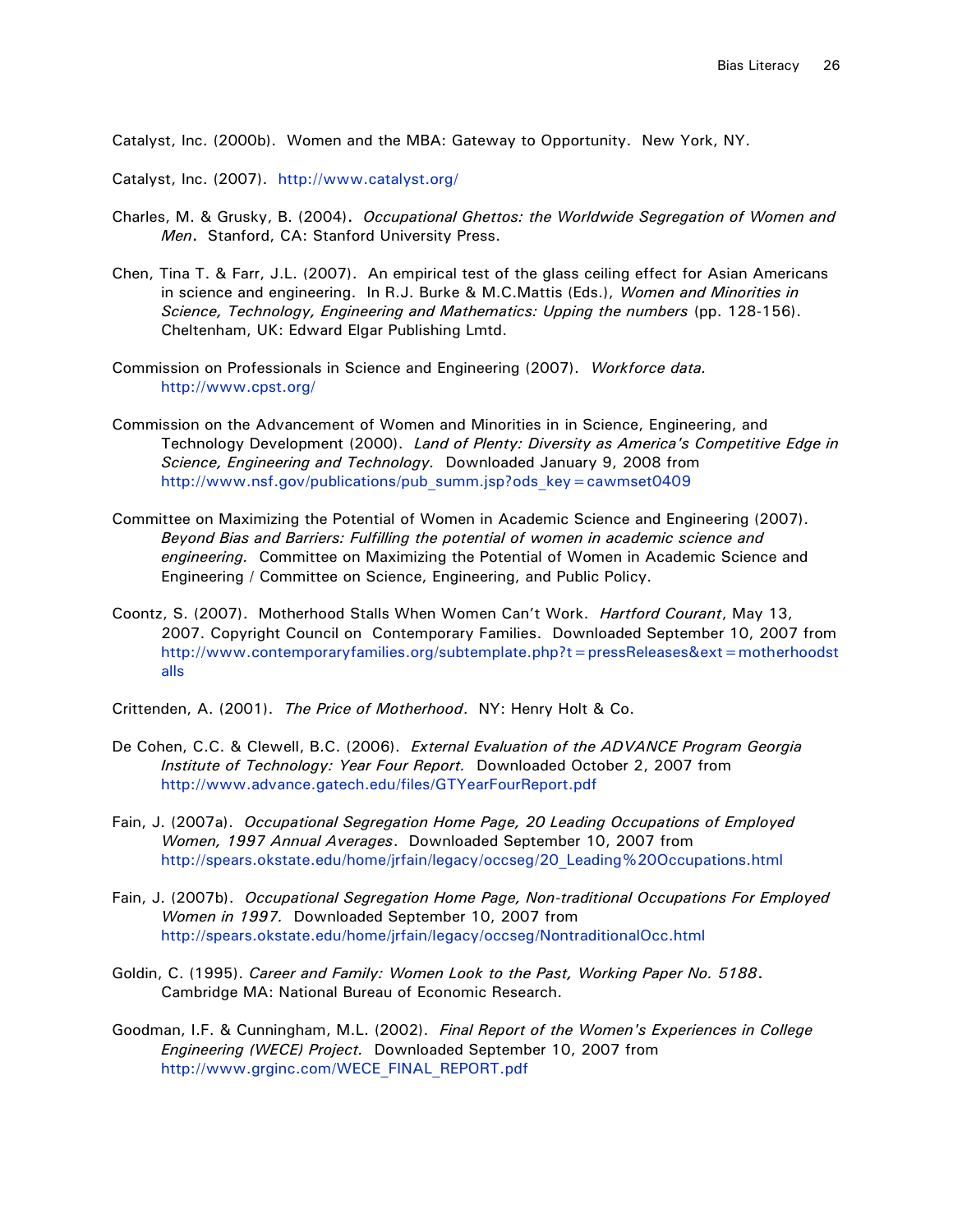Catalyst, Inc. (2000b). Women and the MBA: Gateway to Opportunity. New York, NY.

Catalyst, Inc. (2007). <http://www.catalyst.org/>

- Charles, M. & Grusky, B. (2004)**.** *Occupational Ghettos: the Worldwide Segregation of Women and Men***.** Stanford, CA: Stanford University Press.
- Chen, Tina T. & Farr, J.L. (2007). An empirical test of the glass ceiling effect for Asian Americans in science and engineering. In R.J. Burke & M.C.Mattis (Eds.), *Women and Minorities in Science, Technology, Engineering and Mathematics: Upping the numbers* (pp. 128-156). Cheltenham, UK: Edward Elgar Publishing Lmtd.
- Commission on Professionals in Science and Engineering (2007). *Workforce data.*  <http://www.cpst.org/>
- Commission on the Advancement of Women and Minorities in in Science, Engineering, and Technology Development (2000). *Land of Plenty: Diversity as America's Competitive Edge in Science, Engineering and Technology.* Downloaded January 9, 2008 from http://www.nsf.gov/publications/pub\_summ.jsp?ods\_key = cawmset0409
- Committee on Maximizing the Potential of Women in Academic Science and Engineering (2007). *Beyond Bias and Barriers: Fulfilling the potential of women in academic science and engineering.* Committee on Maximizing the Potential of Women in Academic Science and Engineering / Committee on Science, Engineering, and Public Policy.
- Coontz, S. (2007). Motherhood Stalls When Women Can't Work. *Hartford Courant*, May 13, 2007. Copyright Council on Contemporary Families. Downloaded September 10, 2007 from [http://www.contemporaryfamilies.org/subtemplate.php?t=pressReleases&ext=motherhoodst](http://www.contemporaryfamilies.org/subtemplate.php?t=pressReleases&ext=motherhoodstalls) [alls](http://www.contemporaryfamilies.org/subtemplate.php?t=pressReleases&ext=motherhoodstalls)
- Crittenden, A. (2001). *The Price of Motherhood*. NY: Henry Holt & Co.
- De Cohen, C.C. & Clewell, B.C. (2006). *External Evaluation of the ADVANCE Program Georgia Institute of Technology: Year Four Report.* Downloaded October 2, 2007 from <http://www.advance.gatech.edu/files/GTYearFourReport.pdf>
- Fain, J. (2007a). *Occupational Segregation Home Page, 20 Leading Occupations of Employed Women, 1997 Annual Averages*. Downloaded September 10, 2007 from [http://spears.okstate.edu/home/jrfain/legacy/occseg/20\\_Leading%20Occupations.html](http://spears.okstate.edu/home/jrfain/legacy/occseg/20_Leading%20Occupations.html)
- Fain, J. (2007b). *Occupational Segregation Home Page, Non-traditional Occupations For Employed Women in 1997.* Downloaded September 10, 2007 from <http://spears.okstate.edu/home/jrfain/legacy/occseg/NontraditionalOcc.html>
- Goldin, C. (1995). *Career and Family: Women Look to the Past, Working Paper No. 5188***.** Cambridge MA: National Bureau of Economic Research.
- Goodman, I.F. & Cunningham, M.L. (2002). *Final Report of the Women's Experiences in College Engineering (WECE) Project.*Downloaded September 10, 2007 from [http://www.grginc.com/WECE\\_FINAL\\_REPORT.pdf](http://www.grginc.com/WECE_FINAL_REPORT.pdf)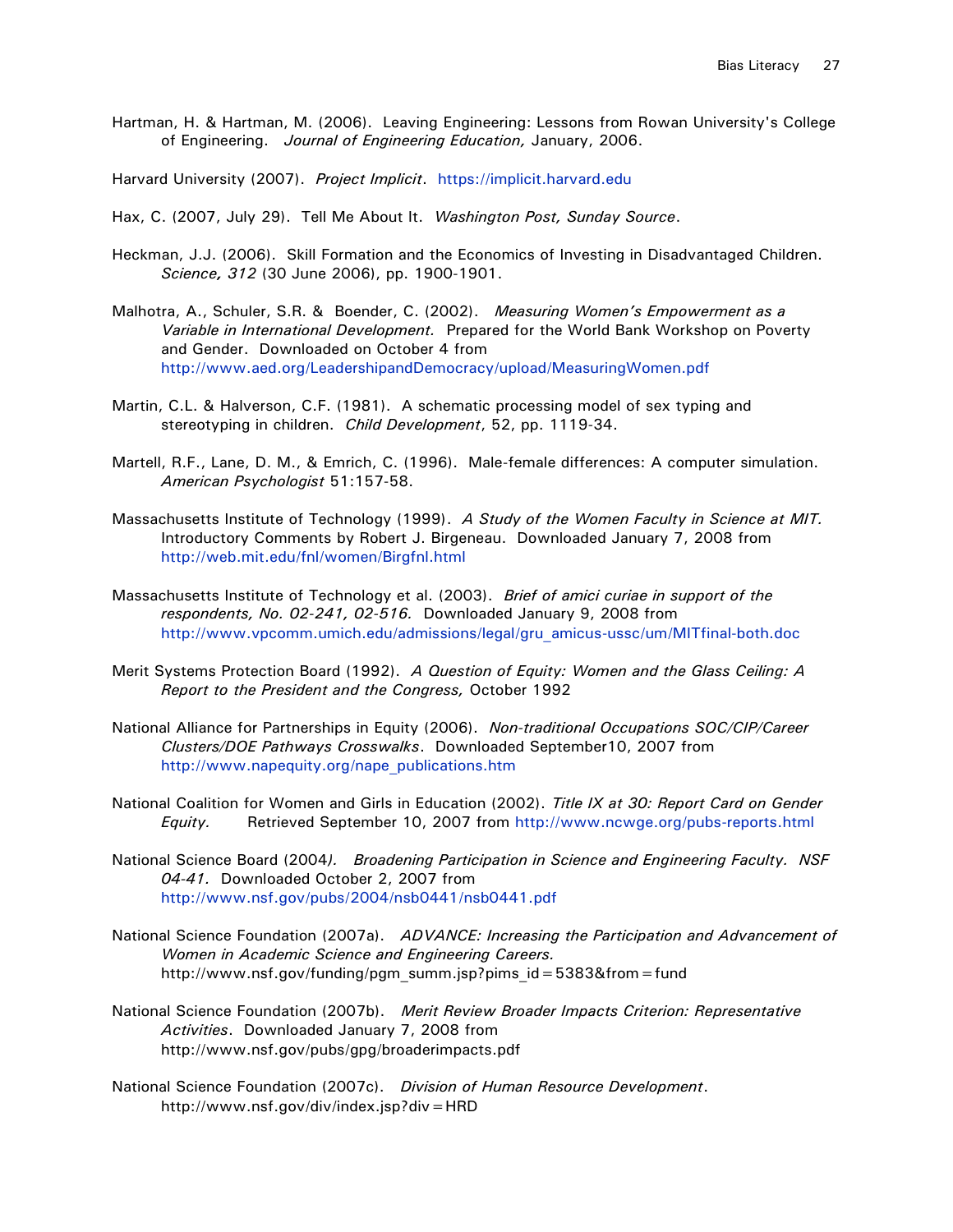Hartman, H. & Hartman, M. (2006). Leaving Engineering: Lessons from Rowan University's College of Engineering. *Journal of Engineering Education,* January, 2006.

Harvard University (2007). *Project Implicit*. [https://implicit.harvard.edu](https://implicit.harvard.edu/)

Hax, C. (2007, July 29). Tell Me About It. *Washington Post, Sunday Source*.

- Heckman, J.J. (2006). Skill Formation and the Economics of Investing in Disadvantaged Children. *Science, 312* (30 June 2006), pp. 1900-1901.
- Malhotra, A., Schuler, S.R. & Boender, C. (2002). *Measuring Women's Empowerment as a Variable in International Development.* Prepared for the World Bank Workshop on Poverty and Gender. Downloaded on October 4 from <http://www.aed.org/LeadershipandDemocracy/upload/MeasuringWomen.pdf>
- Martin, C.L. & Halverson, C.F. (1981). A schematic processing model of sex typing and stereotyping in children. *Child Development*, 52, pp. 1119-34.
- Martell, R.F., Lane, D. M., & Emrich, C. (1996). Male-female differences: A computer simulation. *American Psychologist* 51:157-58.
- Massachusetts Institute of Technology (1999). *A Study of the Women Faculty in Science at MIT.*  Introductory Comments by Robert J. Birgeneau. Downloaded January 7, 2008 from <http://web.mit.edu/fnl/women/Birgfnl.html>
- Massachusetts Institute of Technology et al. (2003). *Brief of amici curiae in support of the respondents, No. 02-241, 02-516.* Downloaded January 9, 2008 from [http://www.vpcomm.umich.edu/admissions/legal/gru\\_amicus-ussc/um/MITfinal-both.doc](http://www.vpcomm.umich.edu/admissions/legal/gru_amicus-ussc/um/MITfinal-both.doc)
- Merit Systems Protection Board (1992). *A Question of Equity: Women and the Glass Ceiling: A Report to the President and the Congress,* October 1992
- National Alliance for Partnerships in Equity (2006). *Non-traditional Occupations SOC/CIP/Career Clusters/DOE Pathways Crosswalks*. Downloaded September10, 2007 from [http://www.napequity.org/nape\\_publications.htm](http://www.napequity.org/nape_publications.htm)
- National Coalition for Women and Girls in Education (2002). *Title IX at 30: Report Card on Gender Equity.* Retrieved September 10, 2007 from<http://www.ncwge.org/pubs-reports.html>
- National Science Board (2004*). Broadening Participation in Science and Engineering Faculty. NSF 04-41.* Downloaded October 2, 2007 from <http://www.nsf.gov/pubs/2004/nsb0441/nsb0441.pdf>
- National Science Foundation (2007a). *ADVANCE: Increasing the Participation and Advancement of Women in Academic Science and Engineering Careers.*  http://www.nsf.gov/funding/pgm\_summ.jsp?pims\_id=5383&from=fund
- National Science Foundation (2007b). *Merit Review Broader Impacts Criterion: Representative Activities*. Downloaded January 7, 2008 from http://www.nsf.gov/pubs/gpg/broaderimpacts.pdf
- National Science Foundation (2007c). *Division of Human Resource Development*. http://www.nsf.gov/div/index.jsp?div=HRD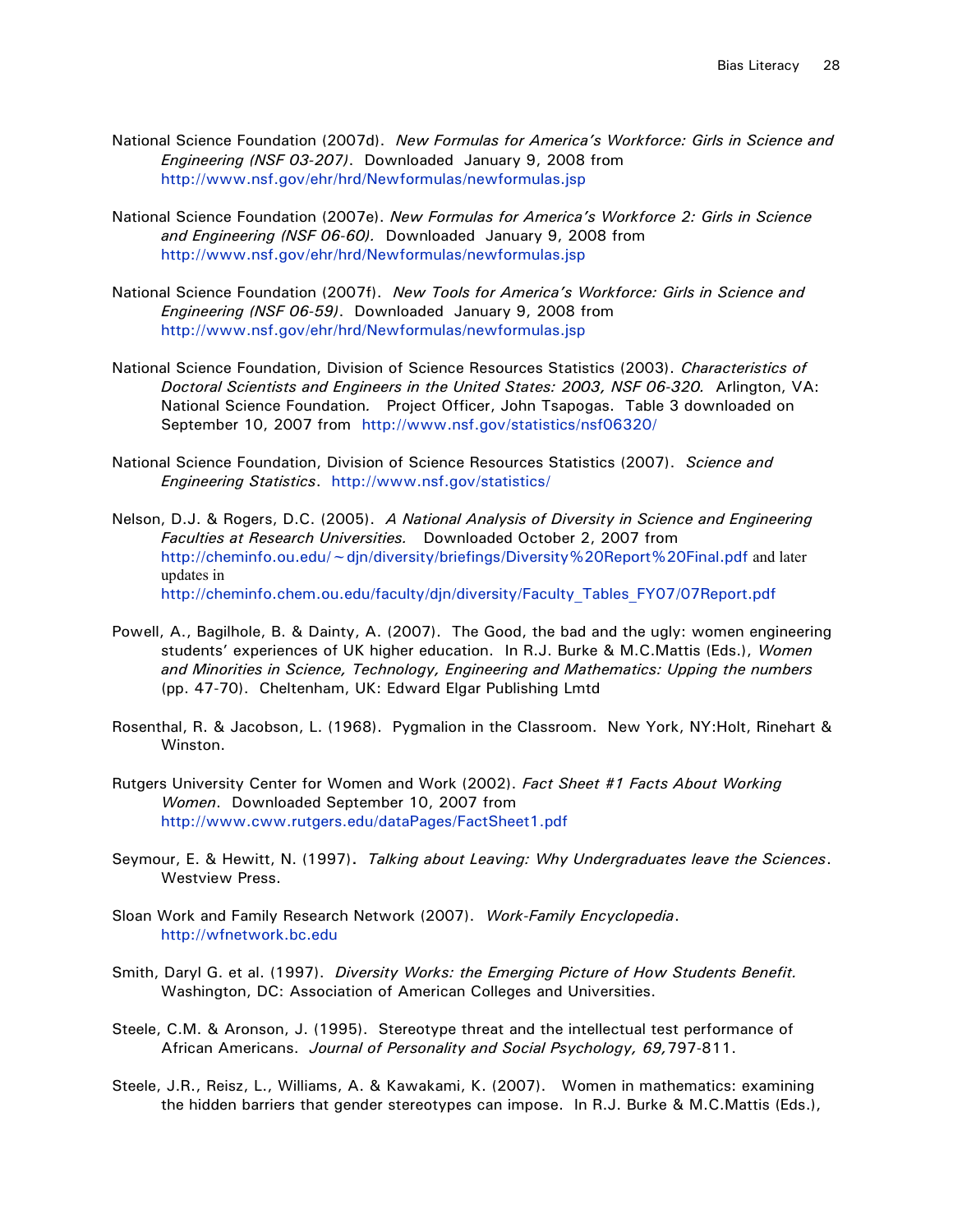- National Science Foundation (2007d). *New Formulas for America's Workforce: Girls in Science and Engineering (NSF 03-207)*. Downloaded January 9, 2008 from <http://www.nsf.gov/ehr/hrd/Newformulas/newformulas.jsp>
- National Science Foundation (2007e). *New Formulas for America's Workforce 2: Girls in Science and Engineering (NSF 06-60).* Downloaded January 9, 2008 from <http://www.nsf.gov/ehr/hrd/Newformulas/newformulas.jsp>
- National Science Foundation (2007f). *New Tools for America's Workforce: Girls in Science and Engineering (NSF 06-59)*. Downloaded January 9, 2008 from <http://www.nsf.gov/ehr/hrd/Newformulas/newformulas.jsp>
- National Science Foundation, Division of Science Resources Statistics (2003). *Characteristics of Doctoral Scientists and Engineers in the United States: 2003, NSF 06-320.* Arlington, VA: National Science Foundation*.* Project Officer, John Tsapogas. Table 3 downloaded on September 10, 2007 from <http://www.nsf.gov/statistics/nsf06320/>
- National Science Foundation, Division of Science Resources Statistics (2007). *Science and Engineering Statistics*. <http://www.nsf.gov/statistics/>
- Nelson, D.J. & Rogers, D.C. (2005). *A National Analysis of Diversity in Science and Engineering Faculties at Research Universities.* Downloaded October 2, 2007 from <http://cheminfo.ou.edu/~djn/diversity/briefings/Diversity%20Report%20Final.pdf> and later updates in [http://cheminfo.chem.ou.edu/faculty/djn/diversity/Faculty\\_Tables\\_FY07/07Report.pdf](http://cheminfo.chem.ou.edu/faculty/djn/diversity/Faculty_Tables_FY07/07Report.pdf)
- Powell, A., Bagilhole, B. & Dainty, A. (2007). The Good, the bad and the ugly: women engineering students' experiences of UK higher education. In R.J. Burke & M.C.Mattis (Eds.), *Women and Minorities in Science, Technology, Engineering and Mathematics: Upping the numbers*  (pp. 47-70). Cheltenham, UK: Edward Elgar Publishing Lmtd
- Rosenthal, R. & Jacobson, L. (1968). Pygmalion in the Classroom. New York, NY:Holt, Rinehart & Winston.
- Rutgers University Center for Women and Work (2002). *Fact Sheet #1 Facts About Working Women*. Downloaded September 10, 2007 from <http://www.cww.rutgers.edu/dataPages/FactSheet1.pdf>
- Seymour, E. & Hewitt, N. (1997)**.** *Talking about Leaving: Why Undergraduates leave the Sciences*. Westview Press.
- Sloan Work and Family Research Network (2007). *Work-Family Encyclopedia*. [http://wfnetwork.bc.edu](http://wfnetwork.bc.edu/)
- Smith, Daryl G. et al. (1997). *Diversity Works: the Emerging Picture of How Students Benefit.* Washington, DC: Association of American Colleges and Universities.
- Steele, C.M. & Aronson, J. (1995). Stereotype threat and the intellectual test performance of African Americans. *Journal of Personality and Social Psychology, 69,*797-811.
- Steele, J.R., Reisz, L., Williams, A. & Kawakami, K. (2007). Women in mathematics: examining the hidden barriers that gender stereotypes can impose. In R.J. Burke & M.C.Mattis (Eds.),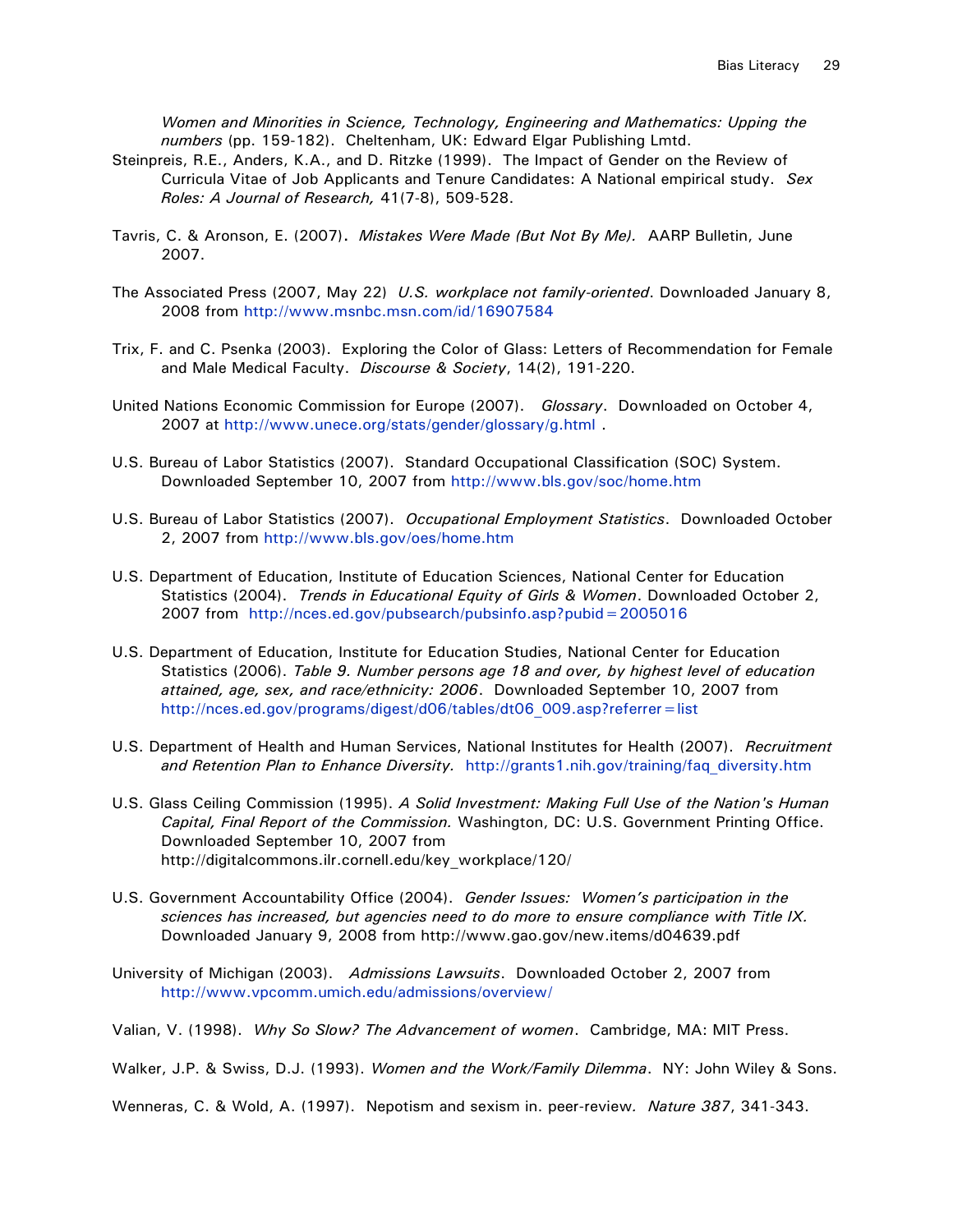*Women and Minorities in Science, Technology, Engineering and Mathematics: Upping the numbers* (pp. 159-182). Cheltenham, UK: Edward Elgar Publishing Lmtd.

- Steinpreis, R.E., Anders, K.A., and D. Ritzke (1999). The Impact of Gender on the Review of Curricula Vitae of Job Applicants and Tenure Candidates: A National empirical study. *Sex Roles: A Journal of Research,* 41(7-8), 509-528.
- Tavris, C. & Aronson, E. (2007)**.** *Mistakes Were Made (But Not By Me).* AARP Bulletin, June 2007.
- The Associated Press (2007, May 22) *U.S. workplace not family-oriented*. Downloaded January 8, 2008 from<http://www.msnbc.msn.com/id/16907584>
- Trix, F. and C. Psenka (2003). Exploring the Color of Glass: Letters of Recommendation for Female and Male Medical Faculty. *Discourse & Society*, 14(2), 191-220.
- United Nations Economic Commission for Europe (2007). *Glossary*. Downloaded on October 4, 2007 at<http://www.unece.org/stats/gender/glossary/g.html> .
- U.S. Bureau of Labor Statistics (2007). Standard Occupational Classification (SOC) System. Downloaded September 10, 2007 from<http://www.bls.gov/soc/home.htm>
- U.S. Bureau of Labor Statistics (2007). *Occupational Employment Statistics*. Downloaded October 2, 2007 from<http://www.bls.gov/oes/home.htm>
- U.S. Department of Education, Institute of Education Sciences, National Center for Education Statistics (2004). *Trends in Educational Equity of Girls & Women*. Downloaded October 2, 2007 from <http://nces.ed.gov/pubsearch/pubsinfo.asp?pubid=2005016>
- U.S. Department of Education, Institute for Education Studies, National Center for Education Statistics (2006). *Table 9. Number persons age 18 and over, by highest level of education attained, age, sex, and race/ethnicity: 2006*. Downloaded September 10, 2007 from [http://nces.ed.gov/programs/digest/d06/tables/dt06\\_009.asp?referrer=list](http://nces.ed.gov/programs/digest/d06/tables/dt06_009.asp?referrer=list)
- U.S. Department of Health and Human Services, National Institutes for Health (2007). *Recruitment and Retention Plan to Enhance Diversity.* [http://grants1.nih.gov/training/faq\\_diversity.htm](http://grants1.nih.gov/training/faq_diversity.htm)
- U.S. Glass Ceiling Commission (1995). *A Solid Investment: Making Full Use of the Nation's Human Capital, Final Report of the Commission.* Washington, DC: U.S. Government Printing Office. Downloaded September 10, 2007 from http://digitalcommons.ilr.cornell.edu/key\_workplace/120/
- U.S. Government Accountability Office (2004). *Gender Issues: Women's participation in the sciences has increased, but agencies need to do more to ensure compliance with Title IX.* Downloaded January 9, 2008 from http://www.gao.gov/new.items/d04639.pdf
- University of Michigan (2003). *Admissions Lawsuits*. Downloaded October 2, 2007 from <http://www.vpcomm.umich.edu/admissions/overview/>

Valian, V. (1998). *Why So Slow? The Advancement of women*. Cambridge, MA: MIT Press.

Walker, J.P. & Swiss, D.J. (1993). *Women and the Work/Family Dilemma*. NY: John Wiley & Sons.

Wenneras, C. & Wold, A. (1997). Nepotism and sexism in. peer-review*. Nature 387*, 341-343.